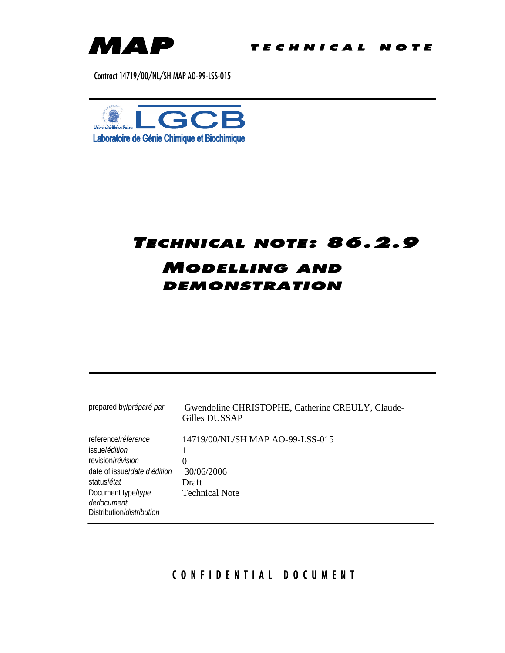

Contract 14719/00/NL/SH MAP AO-99-LSS-015



# TECHNICAL NOTE: 86.2.9 MODELLING AND DEMONSTRATION

| prepared by/préparé par                                                                                                                                                                            | Gwendoline CHRISTOPHE, Catherine CREULY, Claude-<br>Gilles DUSSAP                          |
|----------------------------------------------------------------------------------------------------------------------------------------------------------------------------------------------------|--------------------------------------------------------------------------------------------|
| reference/réference<br>issue/ <i>édition</i><br>revision/révision<br>date of issuel date d'édition<br>status/ <i>état</i><br>Document type/type<br>dedocument<br>Distribution/ <i>distribution</i> | 14719/00/NL/SH MAP AO-99-LSS-015<br>$_{0}$<br>30/06/2006<br>Draft<br><b>Technical Note</b> |

# CONFIDENTIAL DOCUMENT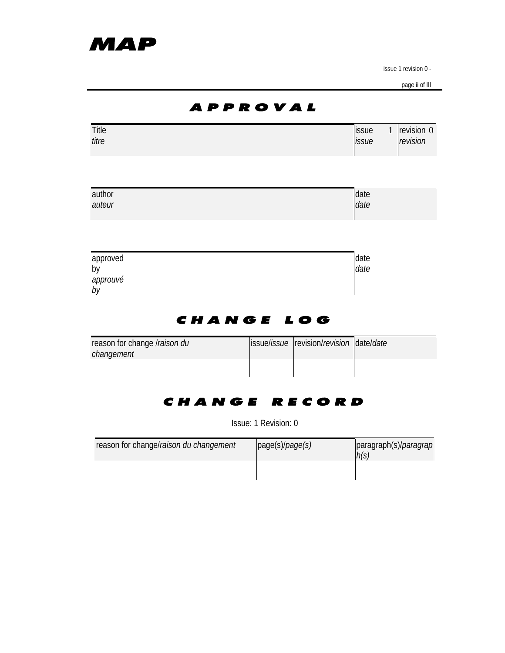page ii of III

|                                            | A P P R O V A L |                                                 |                |              |                        |
|--------------------------------------------|-----------------|-------------------------------------------------|----------------|--------------|------------------------|
| Title<br>titre                             |                 |                                                 | issue<br>issue | $\mathbf{1}$ | revision 0<br>revision |
|                                            |                 |                                                 |                |              |                        |
| author<br>auteur                           |                 |                                                 | date<br>date   |              |                        |
|                                            |                 |                                                 |                |              |                        |
| approved<br>by<br>approuvé<br>by           |                 |                                                 | date<br>date   |              |                        |
|                                            | CHANGE LOG      |                                                 |                |              |                        |
| reason for change Iraison du<br>changement |                 | issue/ <i>issue</i> revision/revision date/date |                |              |                        |
|                                            |                 |                                                 |                |              |                        |
|                                            | Change record   |                                                 |                |              |                        |

Issue: 1 Revision: 0

| reason for change/raison du changement | page(s)/page(s) | paragraph(s)/ <i>paragrap</i><br>h(s) |
|----------------------------------------|-----------------|---------------------------------------|
|                                        |                 |                                       |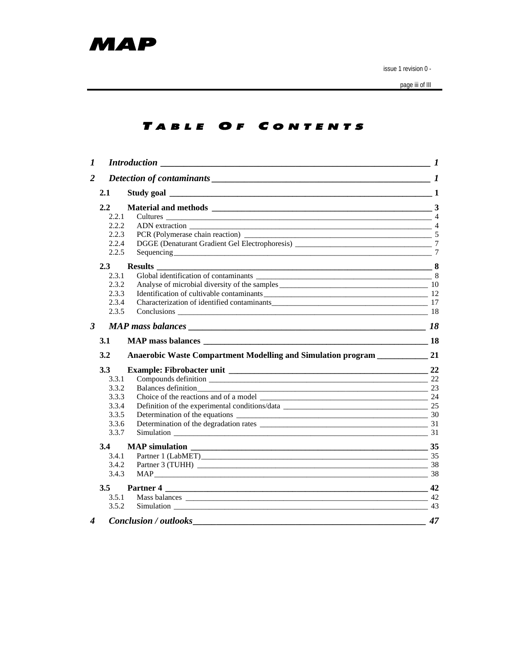

page iii of III

## TABLE OF CONTENTS

| 2.1     |                                                                                                                   |                                                                                                                                                                                                                                                                                                                                                                                       |
|---------|-------------------------------------------------------------------------------------------------------------------|---------------------------------------------------------------------------------------------------------------------------------------------------------------------------------------------------------------------------------------------------------------------------------------------------------------------------------------------------------------------------------------|
| 2.2     |                                                                                                                   |                                                                                                                                                                                                                                                                                                                                                                                       |
|         |                                                                                                                   |                                                                                                                                                                                                                                                                                                                                                                                       |
|         |                                                                                                                   |                                                                                                                                                                                                                                                                                                                                                                                       |
|         |                                                                                                                   |                                                                                                                                                                                                                                                                                                                                                                                       |
|         |                                                                                                                   |                                                                                                                                                                                                                                                                                                                                                                                       |
|         |                                                                                                                   |                                                                                                                                                                                                                                                                                                                                                                                       |
| $2.3 -$ |                                                                                                                   |                                                                                                                                                                                                                                                                                                                                                                                       |
|         |                                                                                                                   |                                                                                                                                                                                                                                                                                                                                                                                       |
|         |                                                                                                                   |                                                                                                                                                                                                                                                                                                                                                                                       |
|         |                                                                                                                   |                                                                                                                                                                                                                                                                                                                                                                                       |
|         |                                                                                                                   |                                                                                                                                                                                                                                                                                                                                                                                       |
|         |                                                                                                                   |                                                                                                                                                                                                                                                                                                                                                                                       |
|         |                                                                                                                   | 18                                                                                                                                                                                                                                                                                                                                                                                    |
| 3.1     |                                                                                                                   |                                                                                                                                                                                                                                                                                                                                                                                       |
| 3.2     |                                                                                                                   |                                                                                                                                                                                                                                                                                                                                                                                       |
| 3.3     |                                                                                                                   |                                                                                                                                                                                                                                                                                                                                                                                       |
|         |                                                                                                                   |                                                                                                                                                                                                                                                                                                                                                                                       |
|         |                                                                                                                   |                                                                                                                                                                                                                                                                                                                                                                                       |
|         |                                                                                                                   |                                                                                                                                                                                                                                                                                                                                                                                       |
|         |                                                                                                                   |                                                                                                                                                                                                                                                                                                                                                                                       |
|         |                                                                                                                   |                                                                                                                                                                                                                                                                                                                                                                                       |
|         |                                                                                                                   |                                                                                                                                                                                                                                                                                                                                                                                       |
|         |                                                                                                                   |                                                                                                                                                                                                                                                                                                                                                                                       |
| 3.4     |                                                                                                                   |                                                                                                                                                                                                                                                                                                                                                                                       |
|         |                                                                                                                   |                                                                                                                                                                                                                                                                                                                                                                                       |
|         |                                                                                                                   | -38                                                                                                                                                                                                                                                                                                                                                                                   |
|         |                                                                                                                   |                                                                                                                                                                                                                                                                                                                                                                                       |
| 3.5     |                                                                                                                   |                                                                                                                                                                                                                                                                                                                                                                                       |
|         |                                                                                                                   |                                                                                                                                                                                                                                                                                                                                                                                       |
|         |                                                                                                                   |                                                                                                                                                                                                                                                                                                                                                                                       |
| 4       |                                                                                                                   | 47                                                                                                                                                                                                                                                                                                                                                                                    |
|         | 2.2.5<br>2.3.1<br>2.3.2<br>2.3.3<br>2.3.4<br>2.3.5<br>3.3.1<br>3.3.2<br>3.3.3<br>3.3.4<br>3.3.5<br>3.3.6<br>3.4.1 | <b>Introduction</b><br>Detection of contaminants $\frac{1}{1}$<br>Study goal <u>and the study goal</u> and the study goal and the study goal and the study goal and the study goal and the study goal and the study goal and the study goal and the study goal and the study goal and the study goal<br>2.2.1<br>2.2.2<br>2.2.3<br>2.2.4<br>3.3.7<br>3.4.2<br>3.4.3<br>3.5.1<br>3.5.2 |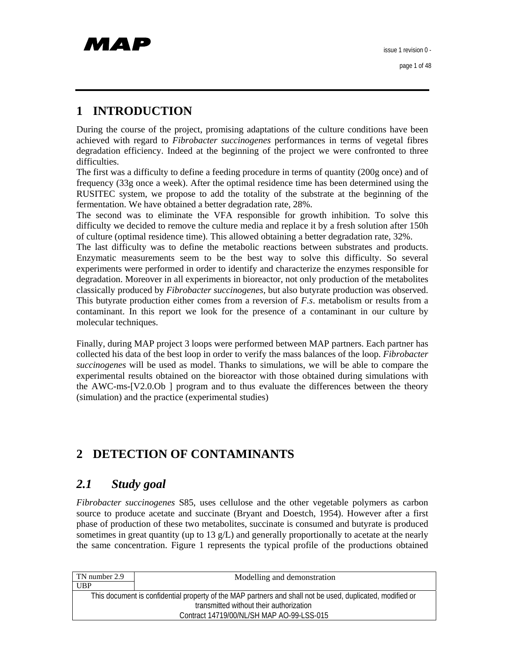# **1 INTRODUCTION**

During the course of the project, promising adaptations of the culture conditions have been achieved with regard to *Fibrobacter succinogenes* performances in terms of vegetal fibres degradation efficiency. Indeed at the beginning of the project we were confronted to three difficulties.

The first was a difficulty to define a feeding procedure in terms of quantity (200g once) and of frequency (33g once a week). After the optimal residence time has been determined using the RUSITEC system, we propose to add the totality of the substrate at the beginning of the fermentation. We have obtained a better degradation rate, 28%.

The second was to eliminate the VFA responsible for growth inhibition. To solve this difficulty we decided to remove the culture media and replace it by a fresh solution after 150h of culture (optimal residence time). This allowed obtaining a better degradation rate, 32%.

The last difficulty was to define the metabolic reactions between substrates and products. Enzymatic measurements seem to be the best way to solve this difficulty. So several experiments were performed in order to identify and characterize the enzymes responsible for degradation. Moreover in all experiments in bioreactor, not only production of the metabolites classically produced by *Fibrobacter succinogenes,* but also butyrate production was observed. This butyrate production either comes from a reversion of *F.s*. metabolism or results from a contaminant. In this report we look for the presence of a contaminant in our culture by molecular techniques.

Finally, during MAP project 3 loops were performed between MAP partners. Each partner has collected his data of the best loop in order to verify the mass balances of the loop. *Fibrobacter succinogenes* will be used as model. Thanks to simulations, we will be able to compare the experimental results obtained on the bioreactor with those obtained during simulations with the AWC-ms-[V2.0.Ob ] program and to thus evaluate the differences between the theory (simulation) and the practice (experimental studies)

# **2 DETECTION OF CONTAMINANTS**

## *2.1 Study goal*

*Fibrobacter succinogenes* S85, uses cellulose and the other vegetable polymers as carbon source to produce acetate and succinate (Bryant and Doestch, 1954). However after a first phase of production of these two metabolites, succinate is consumed and butyrate is produced sometimes in great quantity (up to  $13 \text{ g/L}$ ) and generally proportionally to acetate at the nearly the same concentration. Figure 1 represents the typical profile of the productions obtained

| TN number 2.9 | Modelling and demonstration                                                                               |
|---------------|-----------------------------------------------------------------------------------------------------------|
| <b>UBP</b>    |                                                                                                           |
|               | This document is confidential property of the MAP partners and shall not be used, duplicated, modified or |
|               | transmitted without their authorization                                                                   |
|               | Contract 14719/00/NL/SH MAP AO-99-LSS-015                                                                 |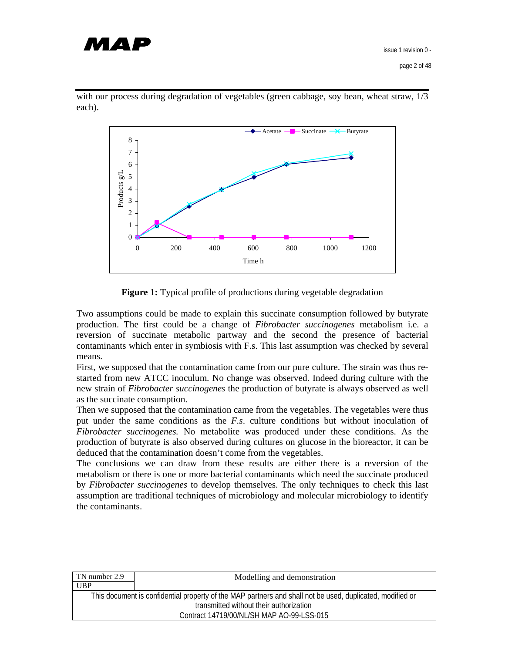



with our process during degradation of vegetables (green cabbage, soy bean, wheat straw,  $1/3$ ) each).

**Figure 1:** Typical profile of productions during vegetable degradation

Two assumptions could be made to explain this succinate consumption followed by butyrate production. The first could be a change of *Fibrobacter succinogenes* metabolism i.e. a reversion of succinate metabolic partway and the second the presence of bacterial contaminants which enter in symbiosis with F.s. This last assumption was checked by several means.

First, we supposed that the contamination came from our pure culture. The strain was thus restarted from new ATCC inoculum. No change was observed. Indeed during culture with the new strain of *Fibrobacter succinogenes* the production of butyrate is always observed as well as the succinate consumption.

Then we supposed that the contamination came from the vegetables. The vegetables were thus put under the same conditions as the *F.s*. culture conditions but without inoculation of *Fibrobacter succinogenes.* No metabolite was produced under these conditions. As the production of butyrate is also observed during cultures on glucose in the bioreactor, it can be deduced that the contamination doesn't come from the vegetables.

The conclusions we can draw from these results are either there is a reversion of the metabolism or there is one or more bacterial contaminants which need the succinate produced by *Fibrobacter succinogenes* to develop themselves. The only techniques to check this last assumption are traditional techniques of microbiology and molecular microbiology to identify the contaminants.

| TN number 2.9 | Modelling and demonstration                                                                               |
|---------------|-----------------------------------------------------------------------------------------------------------|
| UBP           |                                                                                                           |
|               | This document is confidential property of the MAP partners and shall not be used, duplicated, modified or |
|               | transmitted without their authorization                                                                   |
|               | Contract 14719/00/NL/SH MAP AO-99-LSS-015                                                                 |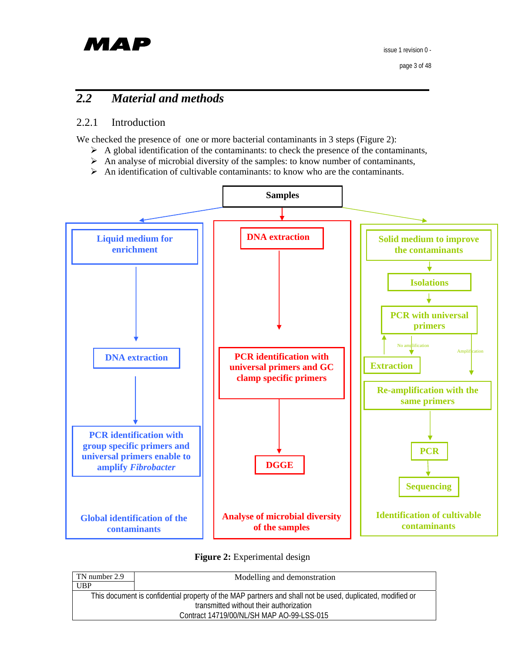# МАР

# *2.2 Material and methods*

## 2.2.1 Introduction

We checked the presence of one or more bacterial contaminants in 3 steps (Figure 2):

- $\triangleright$  A global identification of the contaminants: to check the presence of the contaminants,
- $\triangleright$  An analyse of microbial diversity of the samples: to know number of contaminants,
- $\triangleright$  An identification of cultivable contaminants: to know who are the contaminants.



**Figure 2:** Experimental design

| TN number 2.9 | Modelling and demonstration                                                                               |
|---------------|-----------------------------------------------------------------------------------------------------------|
| <b>UBP</b>    |                                                                                                           |
|               | This document is confidential property of the MAP partners and shall not be used, duplicated, modified or |
|               | transmitted without their authorization                                                                   |
|               | Contract 14719/00/NL/SH MAP AO-99-LSS-015                                                                 |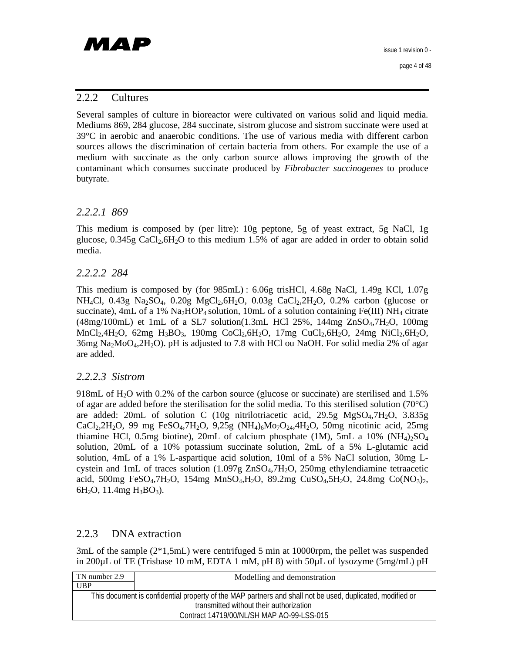page 4 of 48

#### 2.2.2 Cultures

Several samples of culture in bioreactor were cultivated on various solid and liquid media. Mediums 869, 284 glucose, 284 succinate, sistrom glucose and sistrom succinate were used at 39°C in aerobic and anaerobic conditions. The use of various media with different carbon sources allows the discrimination of certain bacteria from others. For example the use of a medium with succinate as the only carbon source allows improving the growth of the contaminant which consumes succinate produced by *Fibrobacter succinogenes* to produce butyrate.

#### *2.2.2.1 869*

This medium is composed by (per litre): 10g peptone, 5g of yeast extract, 5g NaCl, 1g glucose,  $0.345g$  CaCl<sub>2</sub>,6H<sub>2</sub>O to this medium 1.5% of agar are added in order to obtain solid media.

#### *2.2.2.2 284*

This medium is composed by (for 985mL) : 6.06g trisHCl, 4.68g NaCl, 1.49g KCl, 1.07g NH<sub>4</sub>Cl, 0.43g Na<sub>2</sub>SO<sub>4</sub>, 0.20g MgCl<sub>2</sub>,6H<sub>2</sub>O, 0.03g CaCl<sub>2</sub>,2H<sub>2</sub>O, 0.2% carbon (glucose or succinate), 4mL of a 1%  $\text{Na}_2\text{HOP}_4$  solution, 10mL of a solution containing Fe(III) NH<sub>4</sub> citrate  $(48mg/100mL)$  et 1mL of a SL7 solution $(1.3mL$  HCl 25%, 144mg ZnSO<sub>4</sub>,7H<sub>2</sub>O, 100mg MnCl<sub>2</sub>,4H<sub>2</sub>O, 62mg H<sub>3</sub>BO<sub>3</sub>, 190mg CoCl<sub>2</sub>,6H<sub>2</sub>O, 17mg CuCl<sub>2</sub>,6H<sub>2</sub>O, 24mg NiCl<sub>2</sub>,6H<sub>2</sub>O, 36mg Na2MoO4,2H2O). pH is adjusted to 7.8 with HCl ou NaOH. For solid media 2% of agar are added.

#### *2.2.2.3 Sistrom*

918mL of H2O with 0.2% of the carbon source (glucose or succinate) are sterilised and 1.5% of agar are added before the sterilisation for the solid media. To this sterilised solution (70 $^{\circ}$ C) are added: 20mL of solution C (10g nitrilotriacetic acid, 29.5g MgSO<sub>4</sub>,7H<sub>2</sub>O, 3.835g CaCl<sub>2</sub>,2H<sub>2</sub>O, 99 mg FeSO<sub>4</sub>,7H<sub>2</sub>O, 9,25g (NH<sub>4</sub>)<sub>6</sub>Mo<sub>7</sub>O<sub>24</sub>,4H<sub>2</sub>O, 50mg nicotinic acid, 25mg thiamine HCl, 0.5mg biotine), 20mL of calcium phosphate (1M), 5mL a  $10\%$  (NH<sub>4</sub>)<sub>2</sub>SO<sub>4</sub> solution, 20mL of a 10% potassium succinate solution, 2mL of a 5% L-glutamic acid solution, 4mL of a 1% L-aspartique acid solution, 10ml of a 5% NaCl solution, 30mg Lcystein and 1mL of traces solution (1.097g ZnSO4,7H2O, 250mg ethylendiamine tetraacetic acid, 500mg FeSO<sub>4</sub>,7H<sub>2</sub>O, 154mg MnSO<sub>4</sub>,H<sub>2</sub>O, 89.2mg CuSO<sub>4</sub>,5H<sub>2</sub>O, 24.8mg Co(NO<sub>3</sub>)<sub>2</sub>, 6H<sub>2</sub>O, 11.4mg H<sub>3</sub>BO<sub>3</sub>).

#### 2.2.3 DNA extraction

3mL of the sample  $(2*1,5mL)$  were centrifuged 5 min at 10000rpm, the pellet was suspended in 200µL of TE (Trisbase 10 mM, EDTA 1 mM, pH 8) with 50µL of lysozyme (5mg/mL) pH

| TN number 2.9 | Modelling and demonstration                                                                               |
|---------------|-----------------------------------------------------------------------------------------------------------|
| UBP           |                                                                                                           |
|               | This document is confidential property of the MAP partners and shall not be used, duplicated, modified or |
|               | transmitted without their authorization                                                                   |
|               | Contract 14719/00/NL/SH MAP AO-99-LSS-015                                                                 |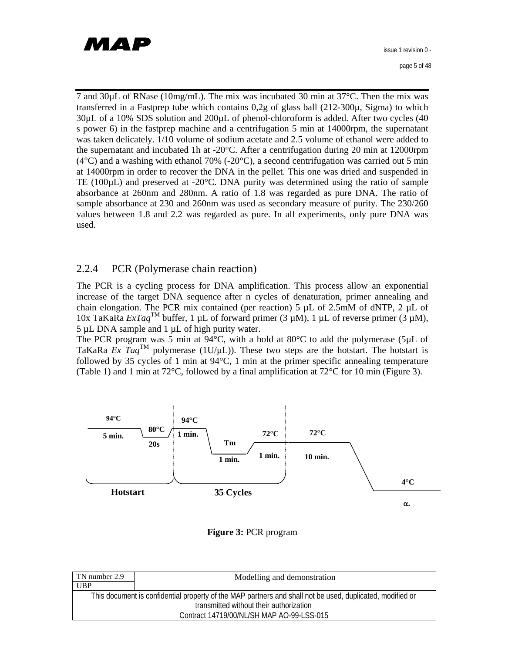# МАР

7 and 30µL of RNase (10mg/mL). The mix was incubated 30 min at 37°C. Then the mix was transferred in a Fastprep tube which contains  $0.2g$  of glass ball  $(212-300\mu, Sigma)$  to which 30µL of a 10% SDS solution and 200µL of phenol-chloroform is added. After two cycles (40 s power 6) in the fastprep machine and a centrifugation 5 min at 14000rpm, the supernatant was taken delicately. 1/10 volume of sodium acetate and 2.5 volume of ethanol were added to the supernatant and incubated 1h at  $-20^{\circ}$ C. After a centrifugation during 20 min at 12000rpm  $(4^{\circ}C)$  and a washing with ethanol 70% (-20 $^{\circ}C$ ), a second centrifugation was carried out 5 min at 14000rpm in order to recover the DNA in the pellet. This one was dried and suspended in TE ( $100\mu$ L) and preserved at  $-20\degree$ C. DNA purity was determined using the ratio of sample absorbance at 260nm and 280nm. A ratio of 1.8 was regarded as pure DNA. The ratio of sample absorbance at 230 and 260nm was used as secondary measure of purity. The 230/260 values between 1.8 and 2.2 was regarded as pure. In all experiments, only pure DNA was used.

## 2.2.4 PCR (Polymerase chain reaction)

The PCR is a cycling process for DNA amplification. This process allow an exponential increase of the target DNA sequence after n cycles of denaturation, primer annealing and chain elongation. The PCR mix contained (per reaction) 5  $\mu$ L of 2.5mM of dNTP, 2  $\mu$ L of 10x TaKaRa  $ExTag^{\text{TM}}$  buffer, 1 µL of forward primer (3 µM), 1 µL of reverse primer (3 µM), 5 µL DNA sample and 1 µL of high purity water.

The PCR program was 5 min at 94°C, with a hold at 80°C to add the polymerase (5µL of TaKaRa *Ex Taq*<sup>TM</sup> polymerase (1U/µL)). These two steps are the hotstart. The hotstart is followed by 35 cycles of 1 min at 94°C, 1 min at the primer specific annealing temperature (Table 1) and 1 min at 72°C, followed by a final amplification at 72°C for 10 min (Figure 3).



#### **Figure 3:** PCR program

| TN number 2.9 | Modelling and demonstration                                                                               |
|---------------|-----------------------------------------------------------------------------------------------------------|
| UBP           |                                                                                                           |
|               | This document is confidential property of the MAP partners and shall not be used, duplicated, modified or |
|               | transmitted without their authorization                                                                   |
|               | Contract 14719/00/NL/SH MAP AO-99-LSS-015                                                                 |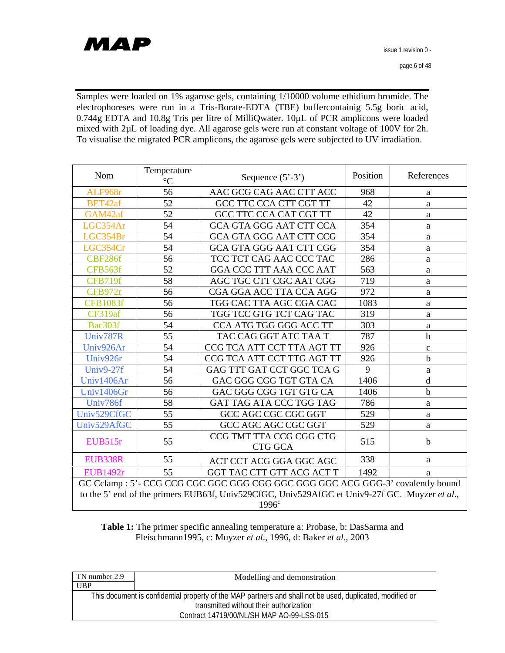# MAP

Samples were loaded on 1% agarose gels, containing 1/10000 volume ethidium bromide. The electrophoreses were run in a Tris-Borate-EDTA (TBE) buffercontainig 5.5g boric acid, 0.744g EDTA and 10.8g Tris per litre of MilliQwater. 10µL of PCR amplicons were loaded mixed with 2µL of loading dye. All agarose gels were run at constant voltage of 100V for 2h. To visualise the migrated PCR amplicons, the agarose gels were subjected to UV irradiation.

| Nom                                                                                                                                                                              | Temperature<br>$\rm ^{\circ}C$               | Sequence $(5' - 3')$           | Position | References   |  |
|----------------------------------------------------------------------------------------------------------------------------------------------------------------------------------|----------------------------------------------|--------------------------------|----------|--------------|--|
| ALF968r                                                                                                                                                                          | 56                                           | AAC GCG CAG AAC CTT ACC        | 968      | a            |  |
| BET42af                                                                                                                                                                          | 52                                           | GCC TTC CCA CTT CGT TT         | 42       | a            |  |
| GAM42af                                                                                                                                                                          | 52                                           | GCC TTC CCA CAT CGT TT         | 42       | a            |  |
| LGC354Ar                                                                                                                                                                         | 54                                           | <b>GCA GTA GGG AAT CTT CCA</b> | 354      | a            |  |
| LGC354Br                                                                                                                                                                         | 54                                           | <b>GCA GTA GGG AAT CTT CCG</b> | 354      | a            |  |
| LGC354Cr                                                                                                                                                                         | 54                                           | <b>GCA GTA GGG AAT CTT CGG</b> | 354      | a            |  |
| CBF286f                                                                                                                                                                          | 56                                           | TCC TCT CAG AAC CCC TAC        | 286      | a            |  |
| CFB563f                                                                                                                                                                          | 52                                           | GGA CCC TTT AAA CCC AAT        | 563      | a            |  |
| CFB719f                                                                                                                                                                          | 58                                           | AGC TGC CTT CGC AAT CGG        | 719      | a            |  |
| CFB972r                                                                                                                                                                          | 56                                           | CGA GGA ACC TTA CCA AGG        | 972      | a            |  |
| <b>CFB1083f</b>                                                                                                                                                                  | 56                                           | TGG CAC TTA AGC CGA CAC        | 1083     | $\mathbf{a}$ |  |
| CF319af                                                                                                                                                                          | 56                                           | TGG TCC GTG TCT CAG TAC        | 319      | a            |  |
| Bac303f                                                                                                                                                                          | 54                                           | CCA ATG TGG GGG ACC TT         | 303      | a            |  |
| Univ787R                                                                                                                                                                         | 55                                           | TAC CAG GGT ATC TAA T          | 787      | $\mathbf b$  |  |
| Univ926Ar                                                                                                                                                                        | 54                                           | CCG TCA ATT CCT TTA AGT TT     | 926      | $\mathbf{C}$ |  |
| Univ926r                                                                                                                                                                         | 54                                           | CCG TCA ATT CCT TTG AGT TT     | 926      | $\mathbf b$  |  |
| Univ9-27f                                                                                                                                                                        | 54                                           | GAG TTT GAT CCT GGC TCA G      | 9        | $\rm{a}$     |  |
| Univ1406Ar                                                                                                                                                                       | 56                                           | GAC GGG CGG TGT GTA CA         | 1406     | d            |  |
| Univ1406Gr                                                                                                                                                                       | 56                                           | GAC GGG CGG TGT GTG CA         | 1406     | $\mathbf b$  |  |
| Univ786f                                                                                                                                                                         | 58                                           | GAT TAG ATA CCC TGG TAG        | 786      | a            |  |
| Univ529CfGC                                                                                                                                                                      | 55                                           | GCC AGC CGC CGC GGT            | 529      | a            |  |
| Univ529AfGC                                                                                                                                                                      | 55                                           | GCC AGC AGC CGC GGT            | 529      | a            |  |
| <b>EUB515r</b>                                                                                                                                                                   | 55                                           | CCG TMT TTA CCG CGG CTG        | 515      | $\mathbf b$  |  |
|                                                                                                                                                                                  |                                              | <b>CTG GCA</b>                 |          |              |  |
| <b>EUB338R</b>                                                                                                                                                                   | 55                                           | ACT CCT ACG GGA GGC AGC        | 338      | a            |  |
| <b>EUB1492r</b>                                                                                                                                                                  | 55<br>GGT TAC CTT GTT ACG ACT T<br>1492<br>a |                                |          |              |  |
| GC Cclamp : 5'- CCG CCG CGC GGC GGG CGG GGC GGG GGC ACG GGG-3' covalently bound<br>to the 5' end of the primers EUB63f, Univ529CfGC, Univ529AfGC et Univ9-27f GC. Muyzer et al., |                                              |                                |          |              |  |
|                                                                                                                                                                                  |                                              | 1996 <sup>c</sup>              |          |              |  |
|                                                                                                                                                                                  |                                              |                                |          |              |  |

**Table 1:** The primer specific annealing temperature a: Probase, b: DasSarma and Fleischmann1995, c: Muyzer *et al*., 1996, d: Baker *et al*., 2003

| TN number 2.9 | Modelling and demonstration                                                                               |
|---------------|-----------------------------------------------------------------------------------------------------------|
| <b>UBP</b>    |                                                                                                           |
|               | This document is confidential property of the MAP partners and shall not be used, duplicated, modified or |
|               | transmitted without their authorization                                                                   |
|               | Contract 14719/00/NL/SH MAP AO-99-LSS-015                                                                 |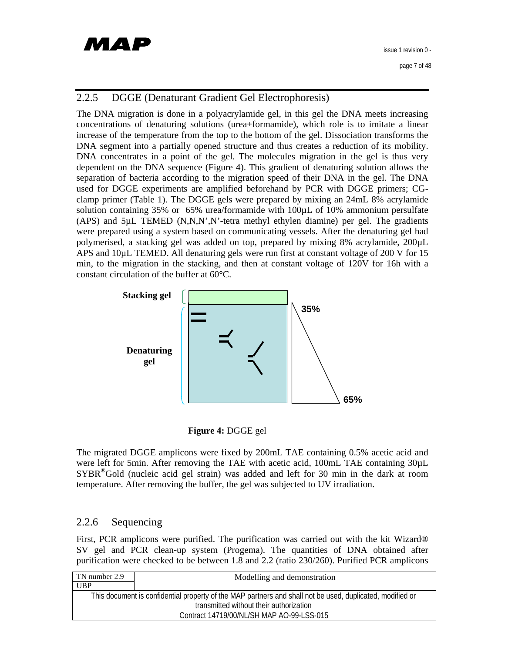

page 7 of 48

## 2.2.5 DGGE (Denaturant Gradient Gel Electrophoresis)

The DNA migration is done in a polyacrylamide gel, in this gel the DNA meets increasing concentrations of denaturing solutions (urea+formamide), which role is to imitate a linear increase of the temperature from the top to the bottom of the gel. Dissociation transforms the DNA segment into a partially opened structure and thus creates a reduction of its mobility. DNA concentrates in a point of the gel. The molecules migration in the gel is thus very dependent on the DNA sequence (Figure 4). This gradient of denaturing solution allows the separation of bacteria according to the migration speed of their DNA in the gel. The DNA used for DGGE experiments are amplified beforehand by PCR with DGGE primers; CGclamp primer (Table 1). The DGGE gels were prepared by mixing an 24mL 8% acrylamide solution containing 35% or 65% urea/formamide with 100µL of 10% ammonium persulfate  $(APS)$  and  $5\mu L$  TEMED  $(N, N, N', N')$ -tetra methyl ethylen diamine) per gel. The gradients were prepared using a system based on communicating vessels. After the denaturing gel had polymerised, a stacking gel was added on top, prepared by mixing 8% acrylamide, 200µL APS and 10µL TEMED. All denaturing gels were run first at constant voltage of 200 V for 15 min, to the migration in the stacking, and then at constant voltage of 120V for 16h with a constant circulation of the buffer at 60°C.



#### **Figure 4:** DGGE gel

The migrated DGGE amplicons were fixed by 200mL TAE containing 0.5% acetic acid and were left for 5min. After removing the TAE with acetic acid, 100mL TAE containing 30µL SYBR®Gold (nucleic acid gel strain) was added and left for 30 min in the dark at room temperature. After removing the buffer, the gel was subjected to UV irradiation.

## 2.2.6 Sequencing

First, PCR amplicons were purified. The purification was carried out with the kit Wizard® SV gel and PCR clean-up system (Progema). The quantities of DNA obtained after purification were checked to be between 1.8 and 2.2 (ratio 230/260). Purified PCR amplicons

| TN number 2.9 | Modelling and demonstration                                                                               |
|---------------|-----------------------------------------------------------------------------------------------------------|
| <b>UBP</b>    |                                                                                                           |
|               | This document is confidential property of the MAP partners and shall not be used, duplicated, modified or |
|               | transmitted without their authorization                                                                   |
|               | Contract 14719/00/NL/SH MAP AO-99-LSS-015                                                                 |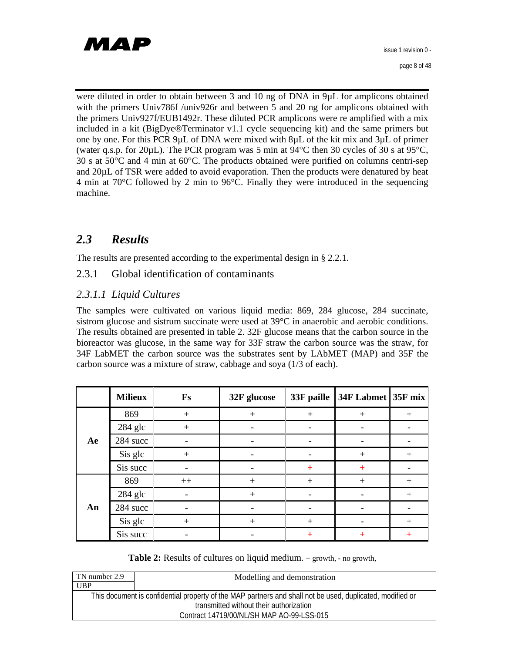

were diluted in order to obtain between 3 and 10 ng of DNA in 9µL for amplicons obtained with the primers Univ786f /univ926r and between 5 and 20 ng for amplicons obtained with the primers Univ927f/EUB1492r. These diluted PCR amplicons were re amplified with a mix included in a kit (BigDye®Terminator v1.1 cycle sequencing kit) and the same primers but one by one. For this PCR 9µL of DNA were mixed with 8µL of the kit mix and 3µL of primer (water q.s.p. for 20 $\mu$ L). The PCR program was 5 min at 94 $\degree$ C then 30 cycles of 30 s at 95 $\degree$ C, 30 s at 50°C and 4 min at 60°C. The products obtained were purified on columns centri-sep and 20µL of TSR were added to avoid evaporation. Then the products were denatured by heat 4 min at 70°C followed by 2 min to 96°C. Finally they were introduced in the sequencing machine.

## *2.3 Results*

The results are presented according to the experimental design in § 2.2.1.

2.3.1 Global identification of contaminants

## *2.3.1.1 Liquid Cultures*

The samples were cultivated on various liquid media: 869, 284 glucose, 284 succinate, sistrom glucose and sistrum succinate were used at 39°C in anaerobic and aerobic conditions. The results obtained are presented in table 2. 32F glucose means that the carbon source in the bioreactor was glucose, in the same way for 33F straw the carbon source was the straw, for 34F LabMET the carbon source was the substrates sent by LAbMET (MAP) and 35F the carbon source was a mixture of straw, cabbage and soya (1/3 of each).

|    | <b>Milieux</b> | <b>Fs</b> | 32F glucose | 33F paille | 34F Labmet 35F mix |        |
|----|----------------|-----------|-------------|------------|--------------------|--------|
|    | 869            | $+$       | $+$         | $+$        | $^{+}$             | $+$    |
|    | 284 glc        | $+$       |             |            |                    |        |
| Ae | 284 succ       |           |             |            |                    |        |
|    | Sis glc        | $+$       |             |            | $^{+}$             | $^{+}$ |
|    | Sis succ       |           |             | $+$        | $\ddot{}$          |        |
| An | 869            | $^{++}$   | $+$         | $+$        | $^{+}$             | $+$    |
|    | 284 glc        |           | $+$         |            |                    | $+$    |
|    | 284 succ       |           |             |            |                    |        |
|    | Sis glc        | $^{+}$    | $^{+}$      | $+$        |                    | $+$    |
|    | Sis succ       |           |             | $\pm$      | $\pm$              | $\pm$  |

#### **Table 2:** Results of cultures on liquid medium. + growth, - no growth,

| TN number 2.9                                                                                             | Modelling and demonstration |  |
|-----------------------------------------------------------------------------------------------------------|-----------------------------|--|
| <b>UBP</b>                                                                                                |                             |  |
| This document is confidential property of the MAP partners and shall not be used, duplicated, modified or |                             |  |
| transmitted without their authorization                                                                   |                             |  |
| Contract 14719/00/NL/SH MAP AO-99-LSS-015                                                                 |                             |  |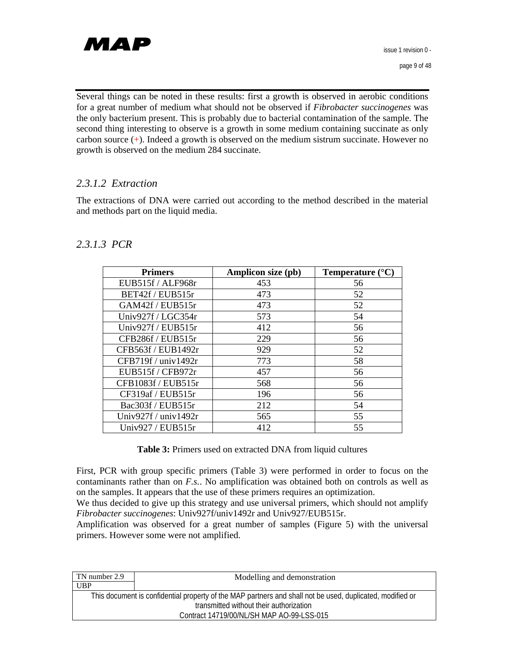

Several things can be noted in these results: first a growth is observed in aerobic conditions for a great number of medium what should not be observed if *Fibrobacter succinogenes* was the only bacterium present. This is probably due to bacterial contamination of the sample. The second thing interesting to observe is a growth in some medium containing succinate as only carbon source (+). Indeed a growth is observed on the medium sistrum succinate. However no growth is observed on the medium 284 succinate.

## *2.3.1.2 Extraction*

The extractions of DNA were carried out according to the method described in the material and methods part on the liquid media.

## *2.3.1.3 PCR*

| <b>Primers</b>             | <b>Amplicon size (pb)</b> | Temperature $(^{\circ}C)$ |
|----------------------------|---------------------------|---------------------------|
| EUB515f / ALF968r          | 453                       | 56                        |
| BET42f / EUB515r           | 473                       | 52                        |
| GAM42f / EUB515r           | 473                       | 52                        |
| Univ927f / LGC354r         | 573                       | 54                        |
| Univ927f / EUB515r         | 412                       | 56                        |
| CFB286f / EUB515r          | 229                       | 56                        |
| CFB563f / EUB1492r         | 929                       | 52                        |
| CFB719f / univ1492r        | 773                       | 58                        |
| EUB515f / CFB972r          | 457                       | 56                        |
| CFB1083f / EUB515r         | 568                       | 56                        |
| CF319af / EUB515r          | 196                       | 56                        |
| Bac303f / EUB515r          | 212                       | 54                        |
| Univ $927f /$ univ $1492r$ | 565                       | 55                        |
| Univ927 / EUB515r          | 412                       | 55                        |

**Table 3:** Primers used on extracted DNA from liquid cultures

First, PCR with group specific primers (Table 3) were performed in order to focus on the contaminants rather than on *F.s.*. No amplification was obtained both on controls as well as on the samples. It appears that the use of these primers requires an optimization.

We thus decided to give up this strategy and use universal primers, which should not amplify *Fibrobacter succinogenes*: Univ927f/univ1492r and Univ927/EUB515r.

Amplification was observed for a great number of samples (Figure 5) with the universal primers. However some were not amplified.

| TN number 2.9                                                                                             | Modelling and demonstration |  |
|-----------------------------------------------------------------------------------------------------------|-----------------------------|--|
| UBP                                                                                                       |                             |  |
| This document is confidential property of the MAP partners and shall not be used, duplicated, modified or |                             |  |
| transmitted without their authorization                                                                   |                             |  |
| Contract 14719/00/NL/SH MAP AO-99-LSS-015                                                                 |                             |  |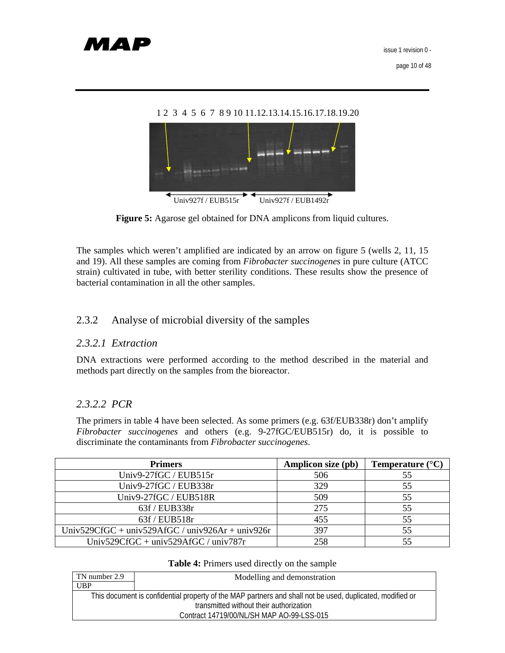



The samples which weren't amplified are indicated by an arrow on figure 5 (wells 2, 11, 15 and 19). All these samples are coming from *Fibrobacter succinogenes* in pure culture (ATCC strain) cultivated in tube, with better sterility conditions. These results show the presence of bacterial contamination in all the other samples.

## 2.3.2 Analyse of microbial diversity of the samples

#### *2.3.2.1 Extraction*

DNA extractions were performed according to the method described in the material and methods part directly on the samples from the bioreactor.

#### *2.3.2.2 PCR*

The primers in table 4 have been selected. As some primers (e.g. 63f/EUB338r) don't amplify *Fibrobacter succinogenes* and others (e.g. 9-27fGC/EUB515r) do, it is possible to discriminate the contaminants from *Fibrobacter succinogenes*.

| <b>Primers</b>                                   | Amplicon size (pb) | Temperature $(^{\circ}C)$ |
|--------------------------------------------------|--------------------|---------------------------|
| Univ9-27fGC / EUB515r                            | 506                |                           |
| Univ9-27fGC / EUB338r                            | 329                | 55                        |
| Univ9-27fGC / EUB518R                            | 509                | 55                        |
| 63f/EUB338r                                      | 275                | 55                        |
| 63f/EUB518r                                      | 455                | 55                        |
| Univ529CfGC + univ529AfGC / univ926Ar + univ926r | 397                | 55                        |
| Univ529 $C$ fGC + univ529 $A$ fGC / univ787r     | 258                |                           |

#### **Table 4:** Primers used directly on the sample

| TN number 2.9                                                                                             | Modelling and demonstration |  |
|-----------------------------------------------------------------------------------------------------------|-----------------------------|--|
| UBP                                                                                                       |                             |  |
| This document is confidential property of the MAP partners and shall not be used, duplicated, modified or |                             |  |
| transmitted without their authorization                                                                   |                             |  |
| Contract 14719/00/NL/SH MAP AO-99-LSS-015                                                                 |                             |  |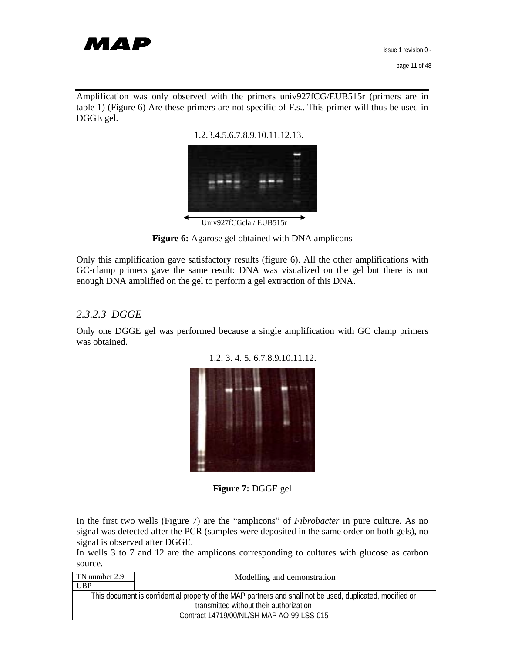

Amplification was only observed with the primers univ927fCG/EUB515r (primers are in table 1) (Figure 6) Are these primers are not specific of F.s.. This primer will thus be used in DGGE gel.

1.2.3.4.5.6.7.8.9.10.11.12.13.



Univ927fCGcla / EUB515r

**Figure 6:** Agarose gel obtained with DNA amplicons

Only this amplification gave satisfactory results (figure 6). All the other amplifications with GC-clamp primers gave the same result: DNA was visualized on the gel but there is not enough DNA amplified on the gel to perform a gel extraction of this DNA.

## *2.3.2.3 DGGE*

Only one DGGE gel was performed because a single amplification with GC clamp primers was obtained.



1.2. 3. 4. 5. 6.7.8.9.10.11.12.

**Figure 7:** DGGE gel

In the first two wells (Figure 7) are the "amplicons" of *Fibrobacter* in pure culture. As no signal was detected after the PCR (samples were deposited in the same order on both gels), no signal is observed after DGGE.

In wells 3 to 7 and 12 are the amplicons corresponding to cultures with glucose as carbon source.

| TN number 2.9                                                                                             | Modelling and demonstration |  |
|-----------------------------------------------------------------------------------------------------------|-----------------------------|--|
| <b>UBP</b>                                                                                                |                             |  |
| This document is confidential property of the MAP partners and shall not be used, duplicated, modified or |                             |  |
| transmitted without their authorization                                                                   |                             |  |
| Contract 14719/00/NL/SH MAP AO-99-LSS-015                                                                 |                             |  |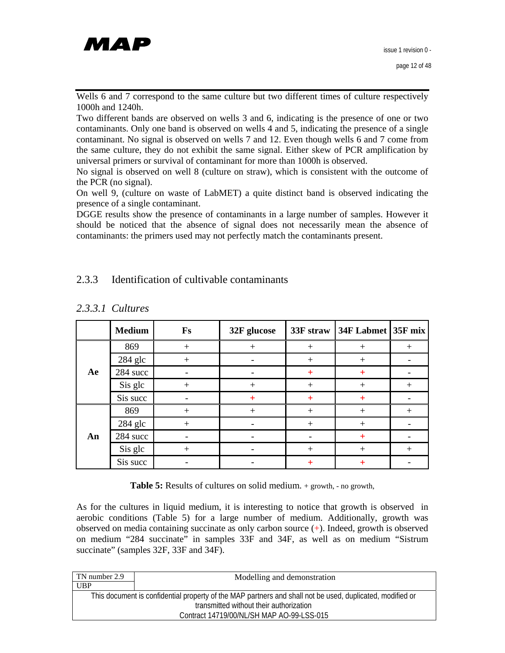

Wells 6 and 7 correspond to the same culture but two different times of culture respectively 1000h and 1240h.

Two different bands are observed on wells 3 and 6, indicating is the presence of one or two contaminants. Only one band is observed on wells 4 and 5, indicating the presence of a single contaminant. No signal is observed on wells 7 and 12. Even though wells 6 and 7 come from the same culture, they do not exhibit the same signal. Either skew of PCR amplification by universal primers or survival of contaminant for more than 1000h is observed.

No signal is observed on well 8 (culture on straw), which is consistent with the outcome of the PCR (no signal).

On well 9, (culture on waste of LabMET) a quite distinct band is observed indicating the presence of a single contaminant.

DGGE results show the presence of contaminants in a large number of samples. However it should be noticed that the absence of signal does not necessarily mean the absence of contaminants: the primers used may not perfectly match the contaminants present.

## 2.3.3 Identification of cultivable contaminants

|    | <b>Medium</b> | <b>Fs</b> | 32F glucose | 33F straw    | 34F Labmet 35F mix |        |
|----|---------------|-----------|-------------|--------------|--------------------|--------|
|    | 869           | $^{+}$    | $+$         | $^{+}$       | $^{+}$             | $^{+}$ |
|    | 284 glc       | $^{+}$    |             | $+$          | $^{+}$             |        |
| Ae | 284 succ      |           |             | $\pm$        | $\pm$              |        |
|    | Sis glc       | $^{+}$    | $^{+}$      | $+$          | $^{+}$             | $^{+}$ |
|    | Sis succ      |           | $\pm$       | $+$          | $\pm$              |        |
| An | 869           | $^{+}$    | $+$         | $+$          | $+$                | $+$    |
|    | 284 glc       | $+$       |             | $+$          | $+$                |        |
|    | 284 succ      |           |             |              | $\pm$              |        |
|    | Sis glc       | $^+$      |             | $^{+}$       | $^{+}$             | $^{+}$ |
|    | Sis succ      |           |             | $\mathrm{+}$ |                    |        |

### *2.3.3.1 Cultures*

**Table 5:** Results of cultures on solid medium. + growth, - no growth,

As for the cultures in liquid medium, it is interesting to notice that growth is observed in aerobic conditions (Table 5) for a large number of medium. Additionally, growth was observed on media containing succinate as only carbon source (+). Indeed, growth is observed on medium "284 succinate" in samples 33F and 34F, as well as on medium "Sistrum succinate" (samples 32F, 33F and 34F).

| TN number 2.9                                                                                             | Modelling and demonstration |  |  |
|-----------------------------------------------------------------------------------------------------------|-----------------------------|--|--|
| <b>UBP</b>                                                                                                |                             |  |  |
| This document is confidential property of the MAP partners and shall not be used, duplicated, modified or |                             |  |  |
| transmitted without their authorization                                                                   |                             |  |  |
| Contract 14719/00/NL/SH MAP AO-99-LSS-015                                                                 |                             |  |  |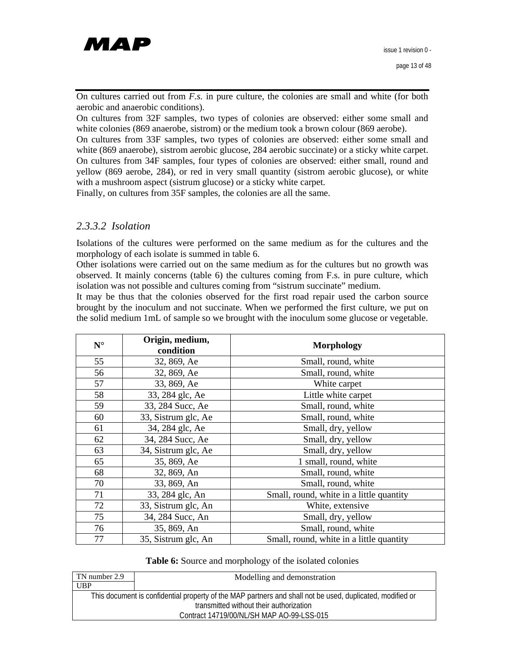

On cultures carried out from *F.s.* in pure culture, the colonies are small and white (for both aerobic and anaerobic conditions).

On cultures from 32F samples, two types of colonies are observed: either some small and white colonies (869 anaerobe, sistrom) or the medium took a brown colour (869 aerobe).

On cultures from 33F samples, two types of colonies are observed: either some small and white (869 anaerobe), sistrom aerobic glucose, 284 aerobic succinate) or a sticky white carpet. On cultures from 34F samples, four types of colonies are observed: either small, round and yellow (869 aerobe, 284), or red in very small quantity (sistrom aerobic glucose), or white with a mushroom aspect (sistrum glucose) or a sticky white carpet.

Finally, on cultures from 35F samples, the colonies are all the same.

#### *2.3.3.2 Isolation*

Isolations of the cultures were performed on the same medium as for the cultures and the morphology of each isolate is summed in table 6.

Other isolations were carried out on the same medium as for the cultures but no growth was observed. It mainly concerns (table 6) the cultures coming from F.s. in pure culture, which isolation was not possible and cultures coming from "sistrum succinate" medium.

It may be thus that the colonies observed for the first road repair used the carbon source brought by the inoculum and not succinate. When we performed the first culture, we put on the solid medium 1mL of sample so we brought with the inoculum some glucose or vegetable.

| $\mathbf{N}^\circ$ | Origin, medium,<br>condition | <b>Morphology</b>                        |  |
|--------------------|------------------------------|------------------------------------------|--|
| 55                 | 32, 869, Ae                  | Small, round, white                      |  |
| 56                 | 32, 869, Ae                  | Small, round, white                      |  |
| 57                 | 33, 869, Ae                  | White carpet                             |  |
| 58                 | 33, 284 glc, Ae              | Little white carpet                      |  |
| 59                 | 33, 284 Succ, Ae             | Small, round, white                      |  |
| 60                 | 33, Sistrum glc, Ae          | Small, round, white                      |  |
| 61                 | 34, 284 glc, Ae              | Small, dry, yellow                       |  |
| 62                 | 34, 284 Succ, Ae             | Small, dry, yellow                       |  |
| 63                 | 34, Sistrum glc, Ae          | Small, dry, yellow                       |  |
| 65                 | 35, 869, Ae                  | 1 small, round, white                    |  |
| 68                 | 32, 869, An                  | Small, round, white                      |  |
| 70                 | 33, 869, An                  | Small, round, white                      |  |
| 71                 | 33, 284 glc, An              | Small, round, white in a little quantity |  |
| 72                 | 33, Sistrum glc, An          | White, extensive                         |  |
| 75                 | 34, 284 Succ, An             | Small, dry, yellow                       |  |
| 76                 | 35, 869, An                  | Small, round, white                      |  |
| 77                 | 35, Sistrum glc, An          | Small, round, white in a little quantity |  |

#### **Table 6:** Source and morphology of the isolated colonies

| TN number 2.9                                                                                             | Modelling and demonstration |  |
|-----------------------------------------------------------------------------------------------------------|-----------------------------|--|
| <b>UBP</b>                                                                                                |                             |  |
| This document is confidential property of the MAP partners and shall not be used, duplicated, modified or |                             |  |
| transmitted without their authorization                                                                   |                             |  |
| Contract 14719/00/NL/SH MAP AO-99-LSS-015                                                                 |                             |  |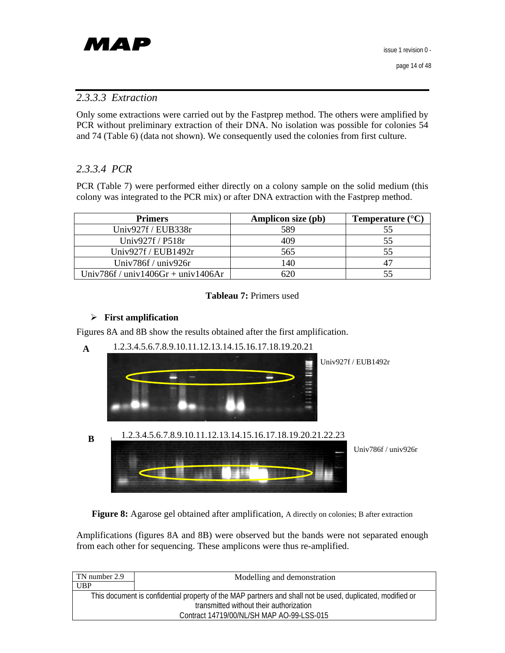

## *2.3.3.3 Extraction*

Only some extractions were carried out by the Fastprep method. The others were amplified by PCR without preliminary extraction of their DNA. No isolation was possible for colonies 54 and 74 (Table 6) (data not shown). We consequently used the colonies from first culture.

## *2.3.3.4 PCR*

PCR (Table 7) were performed either directly on a colony sample on the solid medium (this colony was integrated to the PCR mix) or after DNA extraction with the Fastprep method.

| <b>Primers</b>                     | Amplicon size (pb) | Temperature $(^{\circ}C)$ |
|------------------------------------|--------------------|---------------------------|
| Univ927f / EUB338r                 | 589                | 55                        |
| Univ927 $f$ / P518 $r$             | 409                | 55                        |
| Univ927f / EUB1492r                | 565                | 55                        |
| Univ786f / univ926r                | 140                | 47                        |
| Univ786f / univ1406Gr + univ1406Ar |                    |                           |

#### **Tableau 7:** Primers used

#### ¾ **First amplification**

Figures 8A and 8B show the results obtained after the first amplification.



Figure 8: Agarose gel obtained after amplification, A directly on colonies; B after extraction

Amplifications (figures 8A and 8B) were observed but the bands were not separated enough from each other for sequencing. These amplicons were thus re-amplified.

| TN number 2.9 | Modelling and demonstration                                                                               |
|---------------|-----------------------------------------------------------------------------------------------------------|
| <b>UBP</b>    |                                                                                                           |
|               | This document is confidential property of the MAP partners and shall not be used, duplicated, modified or |
|               | transmitted without their authorization                                                                   |
|               | Contract 14719/00/NL/SH MAP AO-99-LSS-015                                                                 |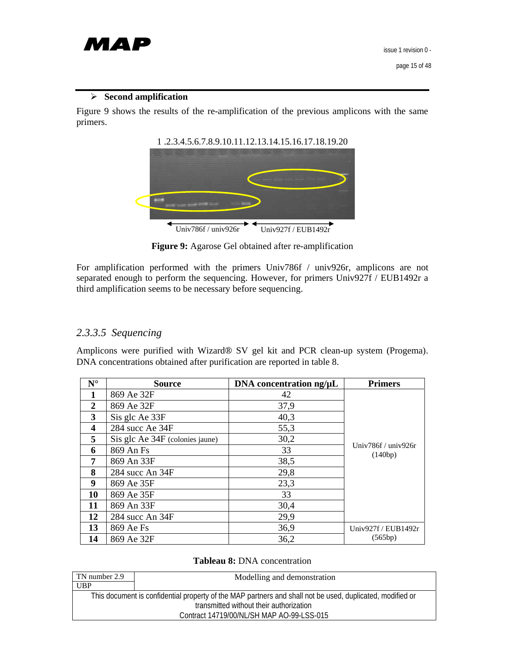

#### ¾ **Second amplification**

Figure 9 shows the results of the re-amplification of the previous amplicons with the same primers.





**Figure 9:** Agarose Gel obtained after re-amplification

For amplification performed with the primers Univ786f / univ926r, amplicons are not separated enough to perform the sequencing. However, for primers Univ927f / EUB1492r a third amplification seems to be necessary before sequencing.

## *2.3.3.5 Sequencing*

Amplicons were purified with Wizard® SV gel kit and PCR clean-up system (Progema). DNA concentrations obtained after purification are reported in table 8.

| $N^{\circ}$             | <b>Source</b>                   | DNA concentration ng/µL | <b>Primers</b>                       |
|-------------------------|---------------------------------|-------------------------|--------------------------------------|
| 1                       | 869 Ae 32F                      | 42                      |                                      |
| $\overline{2}$          | 869 Ae 32F                      | 37,9                    |                                      |
| 3                       | Sis glc Ae 33F                  | 40,3                    |                                      |
| $\overline{\mathbf{4}}$ | 284 succ Ae 34F                 | 55,3                    |                                      |
| 5                       | Sis glc Ae 34F (colonies jaune) | 30,2                    |                                      |
| 6                       | 869 An Fs                       | 33                      | Univ $786f /$ univ $926r$<br>(140bp) |
| 7                       | 869 An 33F                      | 38,5                    |                                      |
| 8                       | 284 succ An 34F                 | 29,8                    |                                      |
| 9                       | 869 Ae 35F                      | 23,3                    |                                      |
| 10                      | 869 Ae 35F                      | 33                      |                                      |
| 11                      | 869 An 33F                      | 30,4                    |                                      |
| 12                      | 284 succ An 34F                 | 29,9                    |                                      |
| 13                      | 869 Ae Fs                       | 36,9                    | Univ927f / $EUB1492r$                |
| 14                      | 869 Ae 32F                      | 36,2                    | (565bp)                              |

#### **Tableau 8:** DNA concentration

| TN number 2.9 | Modelling and demonstration                                                                               |
|---------------|-----------------------------------------------------------------------------------------------------------|
| UBP           |                                                                                                           |
|               | This document is confidential property of the MAP partners and shall not be used, duplicated, modified or |
|               | transmitted without their authorization                                                                   |
|               | Contract 14719/00/NL/SH MAP AO-99-LSS-015                                                                 |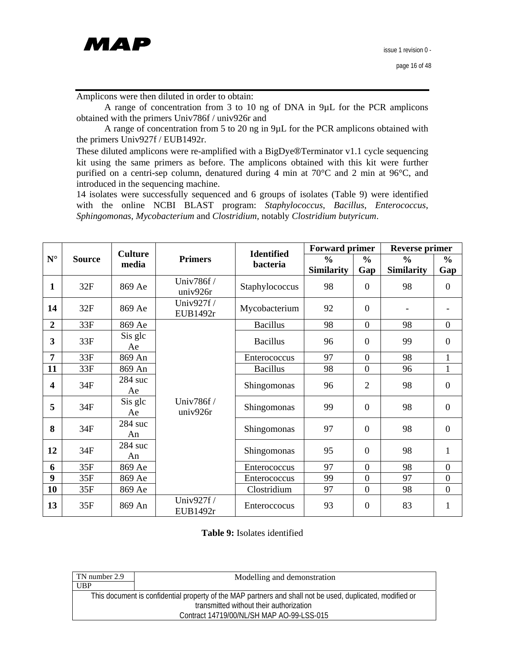

Amplicons were then diluted in order to obtain:

A range of concentration from 3 to 10 ng of DNA in 9µL for the PCR amplicons obtained with the primers Univ786f / univ926r and

A range of concentration from 5 to 20 ng in 9µL for the PCR amplicons obtained with the primers Univ927f / EUB1492r.

These diluted amplicons were re-amplified with a BigDye®Terminator v1.1 cycle sequencing kit using the same primers as before. The amplicons obtained with this kit were further purified on a centri-sep column, denatured during 4 min at 70°C and 2 min at 96°C, and introduced in the sequencing machine.

14 isolates were successfully sequenced and 6 groups of isolates (Table 9) were identified with the online NCBI BLAST program: *Staphylococcus*, *Bacillus*, *Enterococcus*, *Sphingomonas*, *Mycobacterium* and *Clostridium,* notably *Clostridium butyricum*.

|                         |               | <b>Culture</b>  |                        | <b>Identified</b> | <b>Forward primer</b> |                | <b>Reverse primer</b> |                  |
|-------------------------|---------------|-----------------|------------------------|-------------------|-----------------------|----------------|-----------------------|------------------|
| $\mathbf{N}^\circ$      | <b>Source</b> | media           | <b>Primers</b>         | bacteria          | $\frac{6}{6}$         | $\frac{0}{0}$  | $\frac{0}{0}$         | $\frac{6}{6}$    |
|                         |               |                 |                        |                   | <b>Similarity</b>     | Gap            | <b>Similarity</b>     | Gap              |
| 1                       | 32F           | 869 Ae          | Univ786f /<br>univ926r | Staphylococcus    | 98                    | $\mathbf{0}$   | 98                    | $\boldsymbol{0}$ |
| 14                      | 32F           | 869 Ae          | Univ927f /<br>EUB1492r | Mycobacterium     | 92                    | $\overline{0}$ |                       |                  |
| $\boldsymbol{2}$        | 33F           | 869 Ae          |                        | <b>Bacillus</b>   | 98                    | $\mathbf{0}$   | 98                    | $\mathbf{0}$     |
| 3                       | 33F           | Sis glc<br>Ae   |                        | <b>Bacillus</b>   | 96                    | $\theta$       | 99                    | $\mathbf{0}$     |
| $\overline{7}$          | 33F           | 869 An          |                        | Enterococcus      | 97                    | $\overline{0}$ | 98                    | 1                |
| 11                      | 33F           | 869 An          |                        | <b>Bacillus</b>   | 98                    | $\overline{0}$ | 96                    | 1                |
| $\overline{\mathbf{4}}$ | 34F           | $284$ suc<br>Ae | Univ786f /<br>univ926r | Shingomonas       | 96                    | $\overline{2}$ | 98                    | $\mathbf{0}$     |
| 5                       | 34F           | Sis glc<br>Ae   |                        | Shingomonas       | 99                    | $\overline{0}$ | 98                    | $\mathbf{0}$     |
| 8                       | 34F           | 284 suc<br>An   |                        | Shingomonas       | 97                    | $\theta$       | 98                    | $\overline{0}$   |
| 12                      | 34F           | 284 suc<br>An   |                        | Shingomonas       | 95                    | $\theta$       | 98                    | $\mathbf{1}$     |
| 6                       | 35F           | 869 Ae          |                        | Enterococcus      | 97                    | $\overline{0}$ | 98                    | $\mathbf{0}$     |
| 9                       | 35F           | 869 Ae          |                        | Enterococcus      | 99                    | $\theta$       | 97                    | $\boldsymbol{0}$ |
| 10                      | 35F           | 869 Ae          |                        | Clostridium       | 97                    | $\mathbf{0}$   | 98                    | $\mathbf{0}$     |
| 13                      | 35F           | 869 An          | Univ927f /<br>EUB1492r | Enteroccocus      | 93                    | $\overline{0}$ | 83                    | 1                |

**Table 9:** Isolates identified

| TN number 2.9 | Modelling and demonstration                                                                               |
|---------------|-----------------------------------------------------------------------------------------------------------|
| UBP           |                                                                                                           |
|               | This document is confidential property of the MAP partners and shall not be used, duplicated, modified or |
|               | transmitted without their authorization                                                                   |
|               | Contract 14719/00/NL/SH MAP AO-99-LSS-015                                                                 |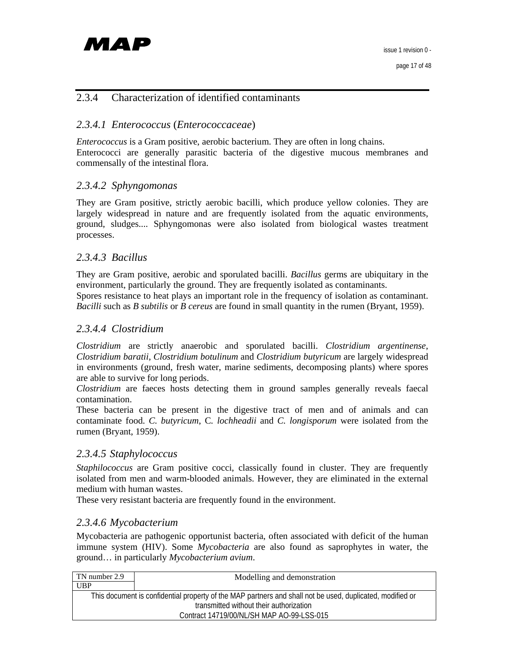## 2.3.4 Characterization of identified contaminants

## *2.3.4.1 Enterococcus* (*Enterococcaceae*)

*Enterococcus* is a Gram positive, aerobic bacterium. They are often in long chains. Enterococci are generally parasitic bacteria of the digestive mucous membranes and commensally of the intestinal flora.

## *2.3.4.2 Sphyngomonas*

They are Gram positive, strictly aerobic bacilli, which produce yellow colonies. They are largely widespread in nature and are frequently isolated from the aquatic environments, ground, sludges.... Sphyngomonas were also isolated from biological wastes treatment processes.

#### *2.3.4.3 Bacillus*

They are Gram positive, aerobic and sporulated bacilli. *Bacillus* germs are ubiquitary in the environment, particularly the ground. They are frequently isolated as contaminants.

Spores resistance to heat plays an important role in the frequency of isolation as contaminant. *Bacilli* such as *B subtilis* or *B cereus* are found in small quantity in the rumen (Bryant, 1959).

#### *2.3.4.4 Clostridium*

*Clostridium* are strictly anaerobic and sporulated bacilli. *Clostridium argentinense*, *Clostridium baratii*, *Clostridium botulinum* and *Clostridium butyricum* are largely widespread in environments (ground, fresh water, marine sediments, decomposing plants) where spores are able to survive for long periods.

*Clostridium* are faeces hosts detecting them in ground samples generally reveals faecal contamination.

These bacteria can be present in the digestive tract of men and of animals and can contaminate food. *C. butyricum*, C*. lochheadii* and *C. longisporum* were isolated from the rumen (Bryant, 1959).

#### *2.3.4.5 Staphylococcus*

*Staphilococcus* are Gram positive cocci, classically found in cluster. They are frequently isolated from men and warm-blooded animals. However, they are eliminated in the external medium with human wastes.

These very resistant bacteria are frequently found in the environment.

#### *2.3.4.6 Mycobacterium*

Mycobacteria are pathogenic opportunist bacteria, often associated with deficit of the human immune system (HIV). Some *Mycobacteria* are also found as saprophytes in water, the ground… in particularly *Mycobacterium avium*.

| TN number 2.9 | Modelling and demonstration                                                                               |
|---------------|-----------------------------------------------------------------------------------------------------------|
| <b>UBP</b>    |                                                                                                           |
|               | This document is confidential property of the MAP partners and shall not be used, duplicated, modified or |
|               | transmitted without their authorization                                                                   |
|               | Contract 14719/00/NL/SH MAP AO-99-LSS-015                                                                 |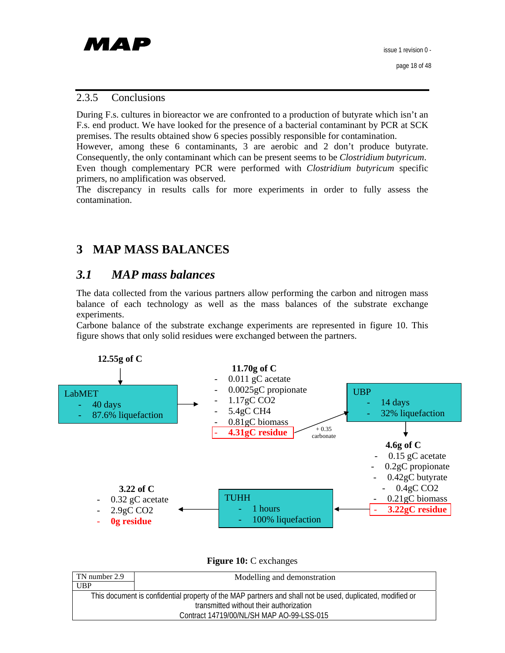#### 2.3.5 Conclusions

During F.s. cultures in bioreactor we are confronted to a production of butyrate which isn't an F.s. end product. We have looked for the presence of a bacterial contaminant by PCR at SCK premises. The results obtained show 6 species possibly responsible for contamination.

However, among these 6 contaminants, 3 are aerobic and 2 don't produce butyrate. Consequently, the only contaminant which can be present seems to be *Clostridium butyricum*. Even though complementary PCR were performed with *Clostridium butyricum* specific primers, no amplification was observed.

The discrepancy in results calls for more experiments in order to fully assess the contamination.

# **3 MAP MASS BALANCES**

## *3.1 MAP mass balances*

The data collected from the various partners allow performing the carbon and nitrogen mass balance of each technology as well as the mass balances of the substrate exchange experiments.

Carbone balance of the substrate exchange experiments are represented in figure 10. This figure shows that only solid residues were exchanged between the partners.



**Figure 10:** C exchanges

| TN number 2.9 | Modelling and demonstration                                                                               |
|---------------|-----------------------------------------------------------------------------------------------------------|
| <b>UBP</b>    |                                                                                                           |
|               | This document is confidential property of the MAP partners and shall not be used, duplicated, modified or |
|               | transmitted without their authorization                                                                   |
|               | Contract 14719/00/NL/SH MAP AO-99-LSS-015                                                                 |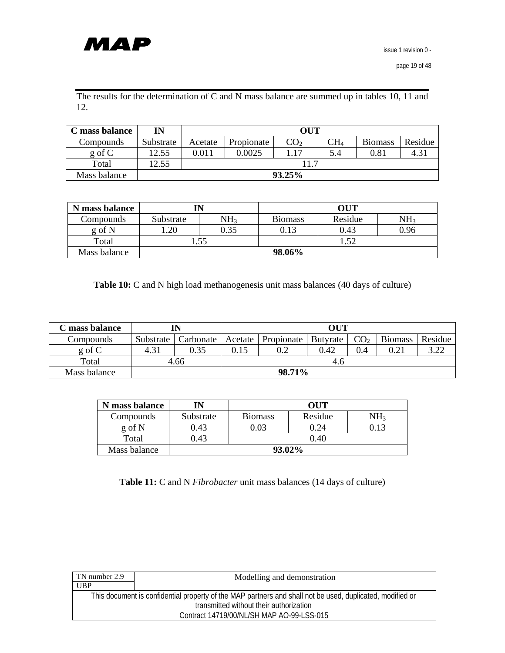

The results for the determination of C and N mass balance are summed up in tables 10, 11 and 12.

| C mass balance | IN        | <b>OUT</b> |            |      |              |                |               |
|----------------|-----------|------------|------------|------|--------------|----------------|---------------|
| Compounds      | Substrate | Acetate    | Propionate | CO2  | $\rm CH_{4}$ | <b>Biomass</b> | Residue       |
| $g \circ f C$  | 12.55     | 0.011      | 0.0025     | 1.17 | 5.4          | 0.81           | $4.3^{\circ}$ |
| Total          | 12.55     |            |            |      |              |                |               |
| Mass balance   |           | 93.25%     |            |      |              |                |               |

| N mass balance |           |                 | OUT            |             |                 |
|----------------|-----------|-----------------|----------------|-------------|-----------------|
| Compounds      | Substrate | NH <sub>3</sub> | <b>Biomass</b> | Residue     | NH <sub>3</sub> |
| g of N         | .20       | 0.35            | 0.13           | 0.43        | 0.96            |
| Total          |           | .55             |                | $5^{\circ}$ |                 |
| Mass balance   |           |                 | 98.06%         |             |                 |

**Table 10:** C and N high load methanogenesis unit mass balances (40 days of culture)

| ' mass balance | IN        |           | OUT     |            |                 |                 |                |         |
|----------------|-----------|-----------|---------|------------|-----------------|-----------------|----------------|---------|
| Compounds      | Substrate | Carbonate | Acetate | Propionate | <b>Butvrate</b> | CO <sub>2</sub> | <b>Biomass</b> | Residue |
| $g \circ f C$  | 4.31      | 0.35      | 0.15    | 0.2        | 0.42            | 0.4             | 0.21           | 322     |
| Total          | 4.66      |           | 4.6     |            |                 |                 |                |         |
| Mass balance   | 98.71%    |           |         |            |                 |                 |                |         |

| N mass balance | IN        | OUT            |              |      |  |  |
|----------------|-----------|----------------|--------------|------|--|--|
| Compounds      | Substrate | <b>Biomass</b> | Residue      | NH2  |  |  |
| g of N         | 0.43      |                | $24^{\circ}$ | 0.13 |  |  |
| Total          | ).43      | 0.40           |              |      |  |  |
| Mass balance   | 93.02%    |                |              |      |  |  |

**Table 11:** C and N *Fibrobacter* unit mass balances (14 days of culture)

| TN number 2.9 | Modelling and demonstration                                                                               |
|---------------|-----------------------------------------------------------------------------------------------------------|
| UBP           |                                                                                                           |
|               | This document is confidential property of the MAP partners and shall not be used, duplicated, modified or |
|               | transmitted without their authorization                                                                   |
|               | Contract 14719/00/NL/SH MAP AO-99-LSS-015                                                                 |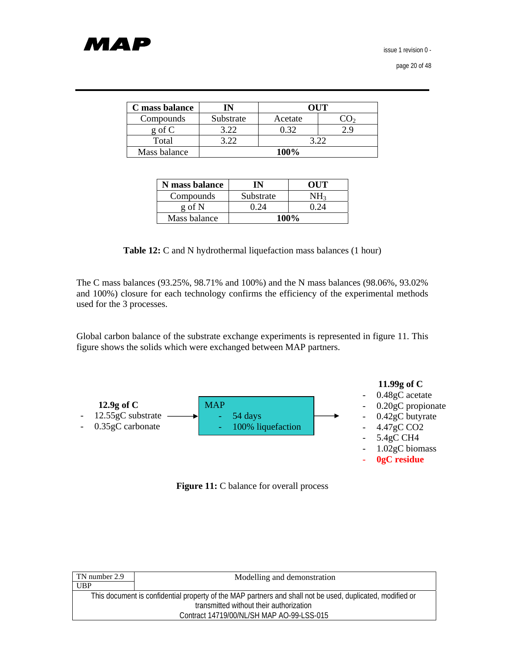# МАР

issue 1 revision 0 -

page 20 of 48

| C mass balance | IN        | OUT     |  |  |  |
|----------------|-----------|---------|--|--|--|
| Compounds      | Substrate | Acetate |  |  |  |
| g of C         |           |         |  |  |  |
| Total          |           |         |  |  |  |
| Mass balance   |           | 100%    |  |  |  |

| <b>N</b> mass balance | IN        | OUT                     |
|-----------------------|-----------|-------------------------|
| Compounds             | Substrate | NH3                     |
| g of N                | () 74     | በ ን $\scriptstyle\rm A$ |
| Mass balance          |           | 100%                    |

**Table 12:** C and N hydrothermal liquefaction mass balances (1 hour)

The C mass balances (93.25%, 98.71% and 100%) and the N mass balances (98.06%, 93.02% and 100%) closure for each technology confirms the efficiency of the experimental methods used for the 3 processes.

Global carbon balance of the substrate exchange experiments is represented in figure 11. This figure shows the solids which were exchanged between MAP partners.



**Figure 11:** C balance for overall process

| TN number 2.9 | Modelling and demonstration                                                                               |
|---------------|-----------------------------------------------------------------------------------------------------------|
| <b>UBP</b>    |                                                                                                           |
|               | This document is confidential property of the MAP partners and shall not be used, duplicated, modified or |
|               | transmitted without their authorization                                                                   |
|               | Contract 14719/00/NL/SH MAP AO-99-LSS-015                                                                 |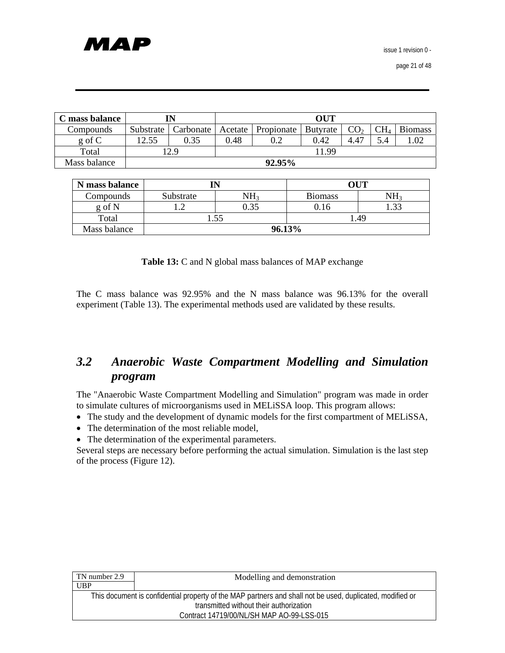| C mass balance |           | IN        |      |                      | <b>OUT</b> |                 |                 |                |
|----------------|-----------|-----------|------|----------------------|------------|-----------------|-----------------|----------------|
| Compounds      | Substrate | Carbonate |      | Acetate   Propionate | Butyrate   | CO <sub>2</sub> | CH <sub>4</sub> | <b>Biomass</b> |
| $g \circ f C$  | 12.55     | 0.35      | 0.48 | 0.2                  | 0.42       | 4.47            | 5.4             | 1.02           |
| Total          |           | 12.9      |      |                      | 11.99      |                 |                 |                |
| Mass balance   |           | 92.95%    |      |                      |            |                 |                 |                |

| N mass balance |                  |  |                | OUT             |
|----------------|------------------|--|----------------|-----------------|
| Compounds      | NH3<br>Substrate |  | <b>Biomass</b> | NH <sub>1</sub> |
| g of N         | 0.35<br>.        |  | 0.16           | 1.33            |
| Total          | . 49<br>.55      |  |                |                 |
| Mass balance   | 96.13%           |  |                |                 |

**Table 13:** C and N global mass balances of MAP exchange

The C mass balance was 92.95% and the N mass balance was 96.13% for the overall experiment (Table 13). The experimental methods used are validated by these results.

# *3.2 Anaerobic Waste Compartment Modelling and Simulation program*

The "Anaerobic Waste Compartment Modelling and Simulation" program was made in order to simulate cultures of microorganisms used in MELiSSA loop. This program allows:

- The study and the development of dynamic models for the first compartment of MELiSSA,
- The determination of the most reliable model,
- The determination of the experimental parameters.

Several steps are necessary before performing the actual simulation. Simulation is the last step of the process (Figure 12).

| TN number 2.9 | Modelling and demonstration                                                                               |
|---------------|-----------------------------------------------------------------------------------------------------------|
| UBP           |                                                                                                           |
|               | This document is confidential property of the MAP partners and shall not be used, duplicated, modified or |
|               | transmitted without their authorization                                                                   |
|               | Contract 14719/00/NL/SH MAP AO-99-LSS-015                                                                 |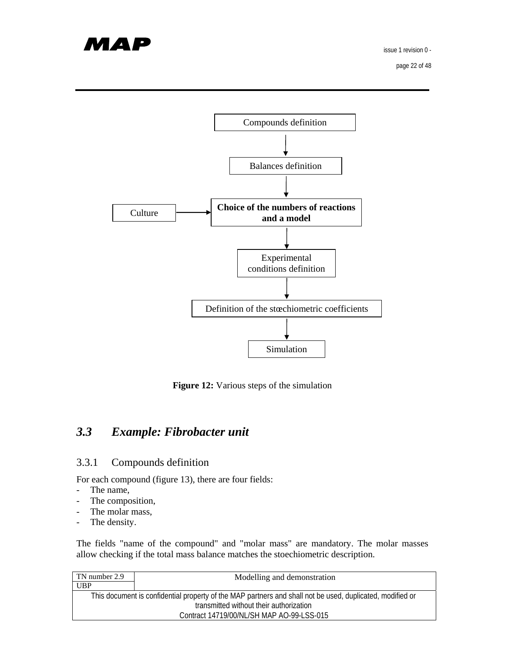

page 22 of 48



**Figure 12:** Various steps of the simulation

# *3.3 Example: Fibrobacter unit*

#### 3.3.1 Compounds definition

For each compound (figure 13), there are four fields:

- The name,
- The composition,
- The molar mass,
- The density.

The fields "name of the compound" and "molar mass" are mandatory. The molar masses allow checking if the total mass balance matches the stoechiometric description.

| TN number 2.9 | Modelling and demonstration                                                                               |
|---------------|-----------------------------------------------------------------------------------------------------------|
| <b>UBP</b>    |                                                                                                           |
|               | This document is confidential property of the MAP partners and shall not be used, duplicated, modified or |
|               | transmitted without their authorization                                                                   |
|               | Contract 14719/00/NL/SH MAP AO-99-LSS-015                                                                 |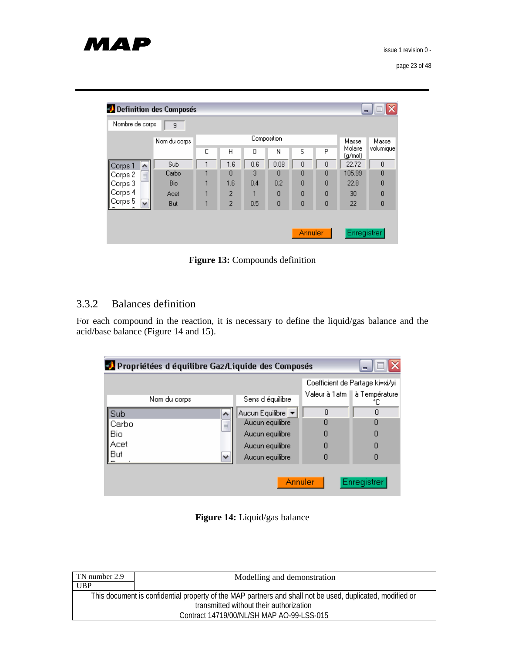| <b>Definition des Composés</b> |              |   |                |     |             |         |   | $\blacksquare$     | x              |
|--------------------------------|--------------|---|----------------|-----|-------------|---------|---|--------------------|----------------|
| Nombre de corps                | 9            |   |                |     |             |         |   |                    |                |
|                                | Nom du corps |   |                |     | Composition |         |   | Masse              | Masse          |
|                                |              | С | Н              | 0   | Ν           | s       | P | Molaire<br>(g/mol) | volumique      |
| Corps 1<br>۸                   | Sub          |   | 1.6            | 0.6 | 0.08        | 0       | 0 | 22.72              | 0              |
| $\equiv$<br>Corps 2            | Carbo        |   | $\Omega$       | 3   | Ω           | 0       | 0 | 105.99             | $\theta$       |
| Corps 3                        | <b>Bio</b>   |   | 1.6            | 0.4 | 0.2         | 0       | 0 | 22.8               | $\theta$       |
| Corps 4                        | Acet         |   | 2              |     | 0           | 0       | 0 | 30                 | $\theta$       |
| Corps 5<br>$\checkmark$        | But          |   | $\overline{c}$ | 0.5 | 0           | 0       | 0 | 22                 | $\overline{0}$ |
|                                |              |   |                |     |             |         |   |                    |                |
|                                |              |   |                |     |             | Annuler |   | Enregistrer        |                |

**Figure 13:** Compounds definition

## 3.3.2 Balances definition

For each compound in the reaction, it is necessary to define the liquid/gas balance and the acid/base balance (Figure 14 and 15).

| x<br><sup>3</sup> Propriétées d équilibre Gaz/Liquide des Composés<br>æ. |              |                   |         |                                       |  |
|--------------------------------------------------------------------------|--------------|-------------------|---------|---------------------------------------|--|
|                                                                          |              |                   |         | Coefficient de Partage ki=xi/yi       |  |
|                                                                          | Nom du corps | Sens d'équilibre  |         | Valeur à 1 atm   à Température<br>°Г. |  |
| Sub                                                                      | ۸            | Aucun Equilibre ▼ | 0       | 0                                     |  |
| Carbo                                                                    | $\equiv$     | Aucun equilibre   | 0       | Ω                                     |  |
| Bio                                                                      |              | Aucun equilibre   | 0       | 0                                     |  |
| Acet                                                                     |              | Aucun equilibre   | 0       | 0                                     |  |
| But                                                                      | v            | Aucun equilibre   | Ω       | 0                                     |  |
|                                                                          |              |                   | Annuler | <b>Enregistrer</b>                    |  |

**Figure 14:** Liquid/gas balance

| TN number 2.9 | Modelling and demonstration                                                                               |
|---------------|-----------------------------------------------------------------------------------------------------------|
| <b>UBP</b>    |                                                                                                           |
|               | This document is confidential property of the MAP partners and shall not be used, duplicated, modified or |
|               | transmitted without their authorization                                                                   |
|               | Contract 14719/00/NL/SH MAP AO-99-LSS-015                                                                 |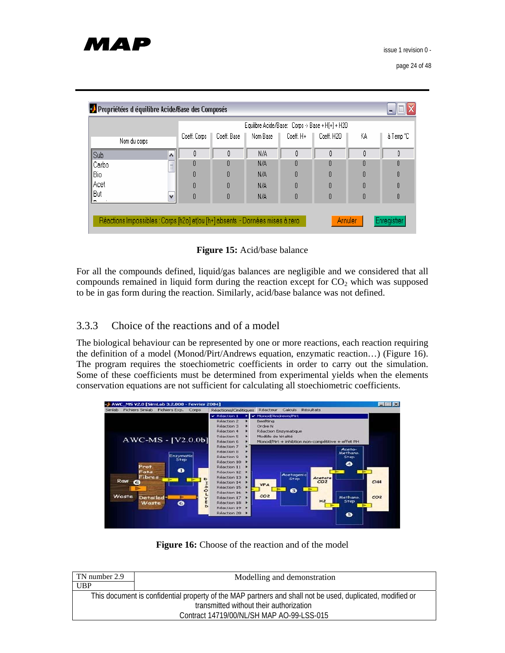|              |                  |              |             |          |           | Equilibre Acide/Base: Corps -> Base + H[+] + H2O |    |         |
|--------------|------------------|--------------|-------------|----------|-----------|--------------------------------------------------|----|---------|
| Nom du corps |                  | Coeff. Corps | Coeff, Base | Nom Base | Coeff. H+ | Coeff, H2O                                       | KА | àTemp°C |
| Sub          | $\blacktriangle$ | 0            | Ũ           | N/A      | O         | O                                                | 0  | 0       |
| Carbo        | $\equiv$         | Ō            |             | N/A      | O         |                                                  | Ō  | 0       |
| Bio          |                  | 0            |             | N/A      | 0         | n                                                | O  | 0       |
| ∥Acet        |                  | O            |             | N/A      | 0         | 0                                                | O  | O       |
| But          | $\checkmark$     | 0            |             | N/A      | 0         | n                                                | O  | 0       |

**Figure 15:** Acid/base balance

For all the compounds defined, liquid/gas balances are negligible and we considered that all compounds remained in liquid form during the reaction except for  $CO<sub>2</sub>$  which was supposed to be in gas form during the reaction. Similarly, acid/base balance was not defined.

## 3.3.3 Choice of the reactions and of a model

The biological behaviour can be represented by one or more reactions, each reaction requiring the definition of a model (Monod/Pirt/Andrews equation, enzymatic reaction…) (Figure 16). The program requires the stoechiometric coefficients in order to carry out the simulation. Some of these coefficients must be determined from experimental yields when the elements conservation equations are not sufficient for calculating all stoechiometric coefficients.



Figure 16: Choose of the reaction and of the model

| TN number 2.9 | Modelling and demonstration                                                                               |
|---------------|-----------------------------------------------------------------------------------------------------------|
| <b>UBP</b>    |                                                                                                           |
|               | This document is confidential property of the MAP partners and shall not be used, duplicated, modified or |
|               | transmitted without their authorization                                                                   |
|               | Contract 14719/00/NL/SH MAP AO-99-LSS-015                                                                 |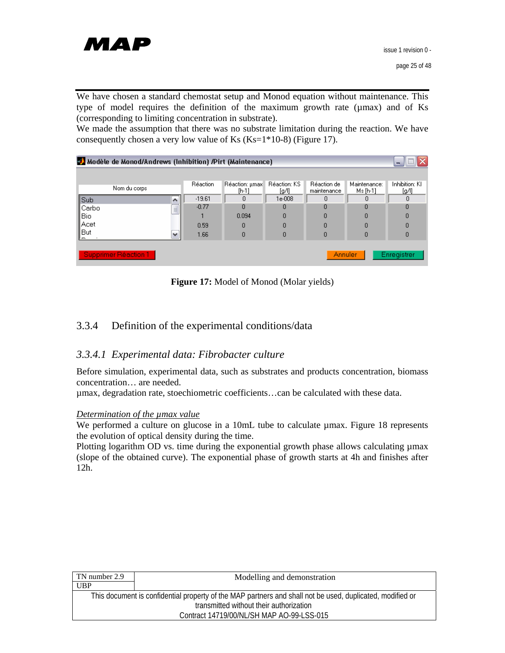

We have chosen a standard chemostat setup and Monod equation without maintenance. This type of model requires the definition of the maximum growth rate (µmax) and of Ks (corresponding to limiting concentration in substrate).

We made the assumption that there was no substrate limitation during the reaction. We have consequently chosen a very low value of Ks  $(Ks=1*10-8)$  (Figure 17).

| Modèle de Monod/Andrews (Inhibition) /Pirt (Maintenance)<br>$\blacksquare$ |              |                 |                           |                       |                            |                          |                         |  |  |
|----------------------------------------------------------------------------|--------------|-----------------|---------------------------|-----------------------|----------------------------|--------------------------|-------------------------|--|--|
|                                                                            |              |                 |                           |                       |                            |                          |                         |  |  |
| Nom du corps                                                               |              | <b>Réaction</b> | Réaction: µmax<br>$[h-1]$ | Réaction: KS<br>[g/l] | Réaction de<br>maintenance | Maintenance:<br>Ms [h-1] | Inhibition: KI<br>[g/l] |  |  |
| Sub                                                                        |              | $-19.61$        | n                         | 1e-008                | n                          | n                        | 0                       |  |  |
| Carbo                                                                      | $\equiv$     | $-0.77$         |                           | 0                     | n                          |                          | 0                       |  |  |
| Bio                                                                        |              |                 | 0.094                     | 0                     | n                          | n                        | ۵                       |  |  |
| ∥Acet                                                                      |              | 0.59            | n                         | 0                     | n                          |                          | 0                       |  |  |
| But                                                                        | $\checkmark$ | 1.66            | Ω                         | 0                     | n                          |                          | 0                       |  |  |
|                                                                            |              |                 |                           |                       |                            |                          |                         |  |  |
| Supprimer Réaction 1<br>Enregistrer<br>Annuler                             |              |                 |                           |                       |                            |                          |                         |  |  |

Figure 17: Model of Monod (Molar yields)

## 3.3.4 Definition of the experimental conditions/data

## *3.3.4.1 Experimental data: Fibrobacter culture*

Before simulation, experimental data, such as substrates and products concentration, biomass concentration… are needed.

µmax, degradation rate, stoechiometric coefficients…can be calculated with these data.

#### *Determination of the µmax value*

We performed a culture on glucose in a 10mL tube to calculate  $\mu$ max. Figure 18 represents the evolution of optical density during the time.

Plotting logarithm OD vs. time during the exponential growth phase allows calculating  $\mu$ max (slope of the obtained curve). The exponential phase of growth starts at 4h and finishes after 12h.

| TN number 2.9                                                                                             | Modelling and demonstration |  |  |  |  |  |
|-----------------------------------------------------------------------------------------------------------|-----------------------------|--|--|--|--|--|
| UBP                                                                                                       |                             |  |  |  |  |  |
| This document is confidential property of the MAP partners and shall not be used, duplicated, modified or |                             |  |  |  |  |  |
| transmitted without their authorization                                                                   |                             |  |  |  |  |  |
| Contract 14719/00/NL/SH MAP AO-99-LSS-015                                                                 |                             |  |  |  |  |  |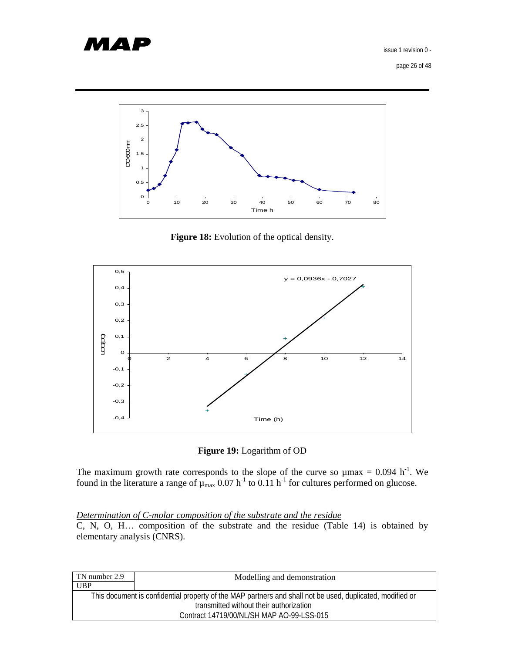

page 26 of 48



**Figure 18:** Evolution of the optical density.



**Figure 19:** Logarithm of OD

The maximum growth rate corresponds to the slope of the curve so  $\mu$ max = 0.094 h<sup>-1</sup>. We found in the literature a range of  $\mu_{max}$  0.07 h<sup>-1</sup> to 0.11 h<sup>-1</sup> for cultures performed on glucose.

#### *Determination of C-molar composition of the substrate and the residue*

C, N, O, H… composition of the substrate and the residue (Table 14) is obtained by elementary analysis (CNRS).

| TN number 2.9                                                                                             | Modelling and demonstration |  |  |  |  |  |  |
|-----------------------------------------------------------------------------------------------------------|-----------------------------|--|--|--|--|--|--|
| <b>UBP</b>                                                                                                |                             |  |  |  |  |  |  |
| This document is confidential property of the MAP partners and shall not be used, duplicated, modified or |                             |  |  |  |  |  |  |
| transmitted without their authorization                                                                   |                             |  |  |  |  |  |  |
| Contract 14719/00/NL/SH MAP AO-99-LSS-015                                                                 |                             |  |  |  |  |  |  |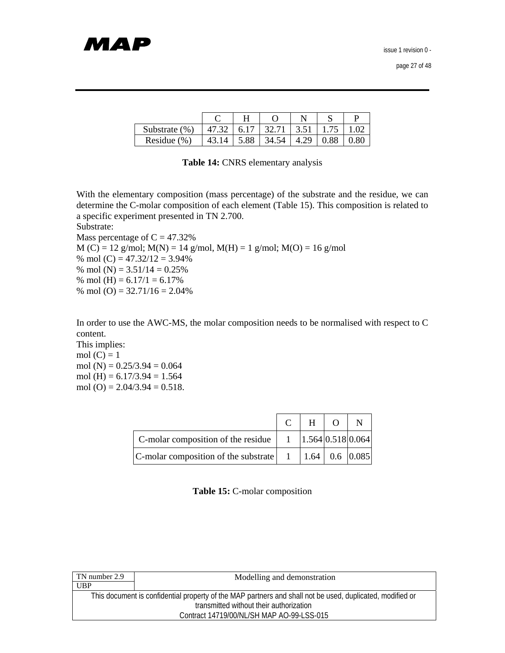| Substrate (%)   | 47.32 | 6.17 | 32.71 | $\vert$ 3.51 $\vert$ | 1.75 |      |
|-----------------|-------|------|-------|----------------------|------|------|
| Residue $(\% )$ |       | 5.88 | 34.54 | 4.29                 | 0.88 | 0.80 |

**Table 14:** CNRS elementary analysis

With the elementary composition (mass percentage) of the substrate and the residue, we can determine the C-molar composition of each element (Table 15). This composition is related to a specific experiment presented in TN 2.700.

Substrate:

Mass percentage of  $C = 47.32\%$  $M(C) = 12$  g/mol;  $M(N) = 14$  g/mol,  $M(H) = 1$  g/mol;  $M(O) = 16$  g/mol % mol  $(C) = 47.32/12 = 3.94%$ % mol (N) =  $3.51/14 = 0.25%$ % mol (H) =  $6.17/1 = 6.17%$ % mol (O) =  $32.71/16 = 2.04\%$ 

In order to use the AWC-MS, the molar composition needs to be normalised with respect to C content.

This implies: mol  $(C) = 1$ mol (N) =  $0.25/3.94 = 0.064$ mol (H) =  $6.17/3.94 = 1.564$ mol (O) =  $2.04/3.94 = 0.518$ .

|                                                                                              | $H$ 0 |  |
|----------------------------------------------------------------------------------------------|-------|--|
| C-molar composition of the residue $\begin{vmatrix} 1 & 1.564 & 0.518 & 0.064 \end{vmatrix}$ |       |  |
| C-molar composition of the substrate $\begin{vmatrix} 1 & 1.64 & 0.6 & 0.085 \end{vmatrix}$  |       |  |

**Table 15:** C-molar composition

| TN number 2.9                                                                                             | Modelling and demonstration               |  |  |  |  |  |
|-----------------------------------------------------------------------------------------------------------|-------------------------------------------|--|--|--|--|--|
| <b>UBP</b>                                                                                                |                                           |  |  |  |  |  |
| This document is confidential property of the MAP partners and shall not be used, duplicated, modified or |                                           |  |  |  |  |  |
| transmitted without their authorization                                                                   |                                           |  |  |  |  |  |
|                                                                                                           | Contract 14719/00/NL/SH MAP AO-99-LSS-015 |  |  |  |  |  |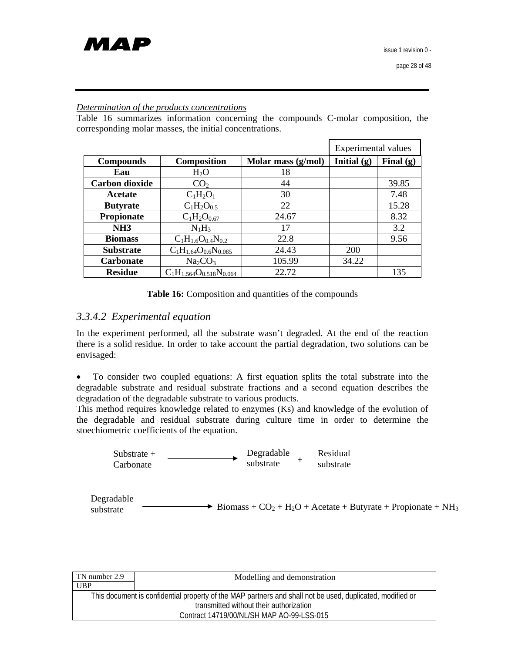#### *Determination of the products concentrations*

Table 16 summarizes information concerning the compounds C-molar composition, the corresponding molar masses, the initial concentrations.

|                       |                                  |                    | Experimental values |             |  |
|-----------------------|----------------------------------|--------------------|---------------------|-------------|--|
| <b>Compounds</b>      | <b>Composition</b>               | Molar mass (g/mol) | Initial $(g)$       | Final $(g)$ |  |
| Eau                   | $H_2O$                           | 18                 |                     |             |  |
| <b>Carbon dioxide</b> | CO <sub>2</sub>                  | 44                 |                     | 39.85       |  |
| Acetate               | $C_1H_2O_1$                      | 30                 |                     | 7.48        |  |
| <b>Butyrate</b>       | $C_1H_2O_{0.5}$                  | 22                 |                     | 15.28       |  |
| <b>Propionate</b>     | $C_1H_2O_{0.67}$                 | 24.67              |                     | 8.32        |  |
| NH <sub>3</sub>       | $N_1H_3$                         | 17                 |                     | 3.2         |  |
| <b>Biomass</b>        | $C_1H_{1.6}O_{0.4}N_{0.2}$       | 22.8               |                     | 9.56        |  |
| <b>Substrate</b>      | $C_1H_{1.64}O_{0.6}N_{0.085}$    | 24.43              | 200                 |             |  |
| <b>Carbonate</b>      | Na <sub>2</sub> CO <sub>3</sub>  | 105.99             | 34.22               |             |  |
| <b>Residue</b>        | $C_1H_{1.564}O_{0.518}N_{0.064}$ | 22.72              |                     | 135         |  |

|  |  |  | <b>Table 16:</b> Composition and quantities of the compounds |
|--|--|--|--------------------------------------------------------------|
|--|--|--|--------------------------------------------------------------|

#### *3.3.4.2 Experimental equation*

In the experiment performed, all the substrate wasn't degraded. At the end of the reaction there is a solid residue. In order to take account the partial degradation, two solutions can be envisaged:

• To consider two coupled equations: A first equation splits the total substrate into the degradable substrate and residual substrate fractions and a second equation describes the degradation of the degradable substrate to various products.

This method requires knowledge related to enzymes (Ks) and knowledge of the evolution of the degradable and residual substrate during culture time in order to determine the stoechiometric coefficients of the equation.

Substrate + Carbonate Degradable substrate Residual + substrate

Degradable  $\overrightarrow{S}$  Biomass + CO<sub>2</sub> + H<sub>2</sub>O + Acetate + Butyrate + Propionate + NH<sub>3</sub>

| TN number 2.9                                                                                             | Modelling and demonstration               |  |  |  |  |  |
|-----------------------------------------------------------------------------------------------------------|-------------------------------------------|--|--|--|--|--|
| <b>UBP</b>                                                                                                |                                           |  |  |  |  |  |
| This document is confidential property of the MAP partners and shall not be used, duplicated, modified or |                                           |  |  |  |  |  |
| transmitted without their authorization                                                                   |                                           |  |  |  |  |  |
|                                                                                                           | Contract 14719/00/NL/SH MAP AO-99-LSS-015 |  |  |  |  |  |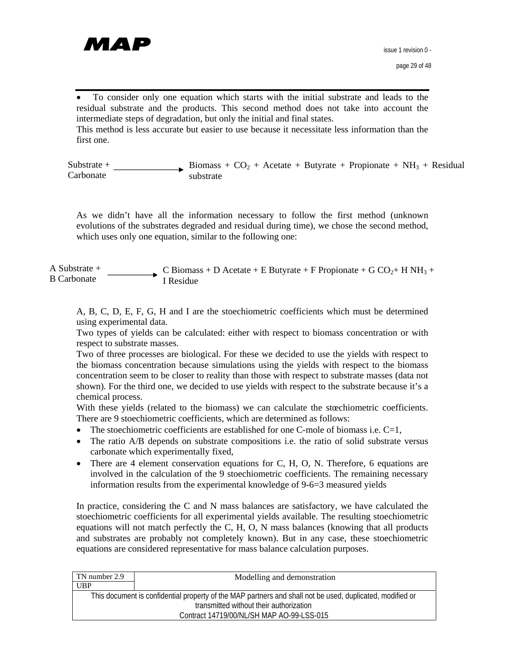

• To consider only one equation which starts with the initial substrate and leads to the residual substrate and the products. This second method does not take into account the intermediate steps of degradation, but only the initial and final states. This method is less accurate but easier to use because it necessitate less information than the first one.

Substrate + Carbonate Biomass +  $CO<sub>2</sub>$  + Acetate + Butyrate + Propionate + NH<sub>3</sub> + Residual substrate

As we didn't have all the information necessary to follow the first method (unknown evolutions of the substrates degraded and residual during time), we chose the second method, which uses only one equation, similar to the following one:

A Substrate + B Carbonate C Biomass + D Acetate + E Butyrate + F Propionate + G CO<sub>2</sub>+ H NH<sub>3</sub> + I Residue

A, B, C, D, E, F, G, H and I are the stoechiometric coefficients which must be determined using experimental data.

Two types of yields can be calculated: either with respect to biomass concentration or with respect to substrate masses.

Two of three processes are biological. For these we decided to use the yields with respect to the biomass concentration because simulations using the yields with respect to the biomass concentration seem to be closer to reality than those with respect to substrate masses (data not shown). For the third one, we decided to use yields with respect to the substrate because it's a chemical process.

With these yields (related to the biomass) we can calculate the stœchiometric coefficients. There are 9 stoechiometric coefficients, which are determined as follows:

- The stoechiometric coefficients are established for one C-mole of biomass i.e.  $C=1$ ,
- The ratio A/B depends on substrate compositions i.e. the ratio of solid substrate versus carbonate which experimentally fixed,
- There are 4 element conservation equations for C, H, O, N. Therefore, 6 equations are involved in the calculation of the 9 stoechiometric coefficients. The remaining necessary information results from the experimental knowledge of 9-6=3 measured yields

In practice, considering the C and N mass balances are satisfactory, we have calculated the stoechiometric coefficients for all experimental yields available. The resulting stoechiometric equations will not match perfectly the C, H, O, N mass balances (knowing that all products and substrates are probably not completely known). But in any case, these stoechiometric equations are considered representative for mass balance calculation purposes.

| TN number 2.9                                                                                             | Modelling and demonstration               |  |  |  |  |  |
|-----------------------------------------------------------------------------------------------------------|-------------------------------------------|--|--|--|--|--|
| <b>UBP</b>                                                                                                |                                           |  |  |  |  |  |
| This document is confidential property of the MAP partners and shall not be used, duplicated, modified or |                                           |  |  |  |  |  |
| transmitted without their authorization                                                                   |                                           |  |  |  |  |  |
|                                                                                                           | Contract 14719/00/NL/SH MAP AO-99-LSS-015 |  |  |  |  |  |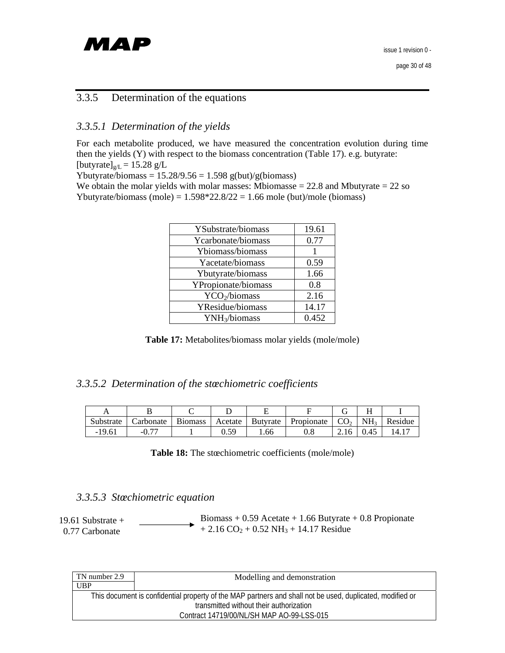

## 3.3.5 Determination of the equations

#### *3.3.5.1 Determination of the yields*

For each metabolite produced, we have measured the concentration evolution during time then the yields (Y) with respect to the biomass concentration (Table 17). e.g. butyrate: [butyrate] $g/L = 15.28$  g/L

Ybutyrate/biomass =  $15.28/9.56 = 1.598$  g(but)/g(biomass)

We obtain the molar yields with molar masses: Mbiomasse  $= 22.8$  and Mbutyrate  $= 22$  so Ybutyrate/biomass (mole) =  $1.598*22.8/22 = 1.66$  mole (but)/mole (biomass)

| YSubstrate/biomass        | 19.61 |
|---------------------------|-------|
| Ycarbonate/biomass        | 0.77  |
| Ybiomass/biomass          |       |
| Yacetate/biomass          | 0.59  |
| Ybutyrate/biomass         | 1.66  |
| YPropionate/biomass       | 0.8   |
| YCO <sub>2</sub> /biomass | 2.16  |
| YResidue/biomass          | 14.17 |
| YNH <sub>3</sub> /biomass | 0.452 |

**Table 17:** Metabolites/biomass molar yields (mole/mole)

## *3.3.5.2 Determination of the stœchiometric coefficients*

| Substrate | Carbonate | <b>Biomass</b> | Acetate | Butvrate | Propionate $\sim$ CO <sub>2</sub> |      | NH <sub>3</sub> | Residue |
|-----------|-----------|----------------|---------|----------|-----------------------------------|------|-----------------|---------|
| $-19.61$  |           |                | 50 ١    | . 66     | 0.8                               | 2.16 | 0.45            | 14.     |

**Table 18:** The stœchiometric coefficients (mole/mole)

#### *3.3.5.3 Stœchiometric equation*

| 19.61 Substrate $+$ | Biomass + $0.59$ Acetate + 1.66 Butyrate + 0.8 Propionate        |
|---------------------|------------------------------------------------------------------|
| 0.77 Carbonate      | $+2.16 \text{ CO}_2 + 0.52 \text{ NH}_3 + 14.17 \text{ Residue}$ |

| TN number 2.9                                                                                             | Modelling and demonstration |  |
|-----------------------------------------------------------------------------------------------------------|-----------------------------|--|
| UBP                                                                                                       |                             |  |
| This document is confidential property of the MAP partners and shall not be used, duplicated, modified or |                             |  |
| transmitted without their authorization                                                                   |                             |  |
| Contract 14719/00/NL/SH MAP AO-99-LSS-015                                                                 |                             |  |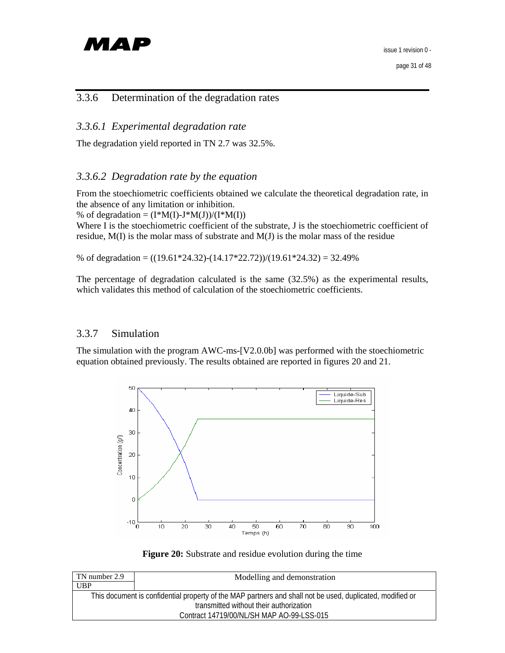

## 3.3.6 Determination of the degradation rates

### *3.3.6.1 Experimental degradation rate*

The degradation yield reported in TN 2.7 was 32.5%.

#### *3.3.6.2 Degradation rate by the equation*

From the stoechiometric coefficients obtained we calculate the theoretical degradation rate, in the absence of any limitation or inhibition.

% of degradation =  $(I^*M(I)-J^*M(J))/(I^*M(I))$ 

Where I is the stoechiometric coefficient of the substrate, J is the stoechiometric coefficient of residue, M(I) is the molar mass of substrate and M(J) is the molar mass of the residue

% of degradation =  $((19.61*24.32)-(14.17*22.72))/(19.61*24.32) = 32.49%$ 

The percentage of degradation calculated is the same (32.5%) as the experimental results, which validates this method of calculation of the stoechiometric coefficients.

#### 3.3.7 Simulation

The simulation with the program AWC-ms-[V2.0.0b] was performed with the stoechiometric equation obtained previously. The results obtained are reported in figures 20 and 21.





| TN number 2.9                                                                                             | Modelling and demonstration |  |
|-----------------------------------------------------------------------------------------------------------|-----------------------------|--|
| <b>UBP</b>                                                                                                |                             |  |
| This document is confidential property of the MAP partners and shall not be used, duplicated, modified or |                             |  |
| transmitted without their authorization                                                                   |                             |  |
| Contract 14719/00/NL/SH MAP AO-99-LSS-015                                                                 |                             |  |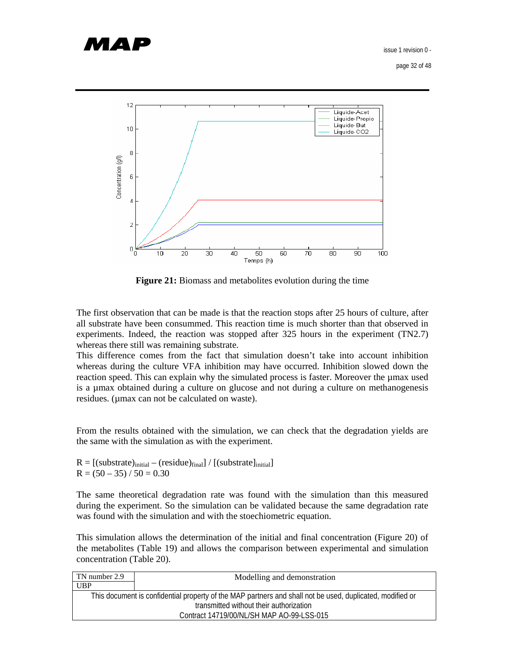

page 32 of 48



**Figure 21:** Biomass and metabolites evolution during the time

The first observation that can be made is that the reaction stops after 25 hours of culture, after all substrate have been consummed. This reaction time is much shorter than that observed in experiments. Indeed, the reaction was stopped after 325 hours in the experiment (TN2.7) whereas there still was remaining substrate.

This difference comes from the fact that simulation doesn't take into account inhibition whereas during the culture VFA inhibition may have occurred. Inhibition slowed down the reaction speed. This can explain why the simulated process is faster. Moreover the µmax used is a µmax obtained during a culture on glucose and not during a culture on methanogenesis residues. (µmax can not be calculated on waste).

From the results obtained with the simulation, we can check that the degradation yields are the same with the simulation as with the experiment.

 $R = [(substrate)_{initial} - (residue)_{final}] / [(substrate]_{initial}]$  $R = (50 - 35) / 50 = 0.30$ 

The same theoretical degradation rate was found with the simulation than this measured during the experiment. So the simulation can be validated because the same degradation rate was found with the simulation and with the stoechiometric equation.

This simulation allows the determination of the initial and final concentration (Figure 20) of the metabolites (Table 19) and allows the comparison between experimental and simulation concentration (Table 20).

| TN number 2.9                                                                                             | Modelling and demonstration |  |
|-----------------------------------------------------------------------------------------------------------|-----------------------------|--|
| UBP                                                                                                       |                             |  |
| This document is confidential property of the MAP partners and shall not be used, duplicated, modified or |                             |  |
| transmitted without their authorization                                                                   |                             |  |
| Contract 14719/00/NL/SH MAP AO-99-LSS-015                                                                 |                             |  |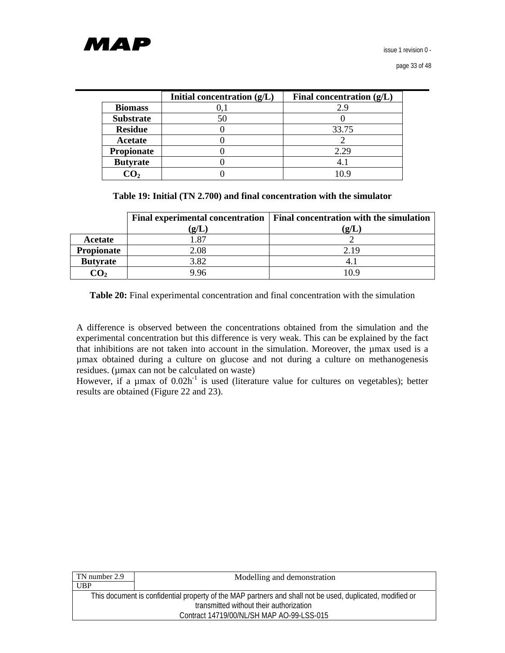

|                   | Initial concentration $(g/L)$ | Final concentration $(g/L)$ |
|-------------------|-------------------------------|-----------------------------|
| <b>Biomass</b>    |                               | 2.9                         |
| <b>Substrate</b>  | 50                            |                             |
| <b>Residue</b>    |                               | 33.75                       |
| Acetate           |                               |                             |
| <b>Propionate</b> |                               | 2.29                        |
| <b>Butyrate</b>   |                               |                             |
|                   |                               | 10 Q                        |

**Table 19: Initial (TN 2.700) and final concentration with the simulator**

|                   | <b>Final experimental concentration</b> | <b>Final concentration with the simulation</b> |
|-------------------|-----------------------------------------|------------------------------------------------|
|                   | $\left( {\bf g}/{\bf L}\right)$         | $\mathbf{g}/\mathbf{L}$                        |
| Acetate           | 1.87                                    |                                                |
| <b>Propionate</b> | 2.08                                    | 2.19                                           |
| <b>Butyrate</b>   | 3.82                                    |                                                |
|                   | 9.96                                    | 10.9                                           |

**Table 20:** Final experimental concentration and final concentration with the simulation

A difference is observed between the concentrations obtained from the simulation and the experimental concentration but this difference is very weak. This can be explained by the fact that inhibitions are not taken into account in the simulation. Moreover, the µmax used is a µmax obtained during a culture on glucose and not during a culture on methanogenesis residues. (µmax can not be calculated on waste)

However, if a  $\mu$ max of 0.02h<sup>-1</sup> is used (literature value for cultures on vegetables); better results are obtained (Figure 22 and 23).

| TN number 2.9                                                                                             | Modelling and demonstration |  |
|-----------------------------------------------------------------------------------------------------------|-----------------------------|--|
| UBP                                                                                                       |                             |  |
| This document is confidential property of the MAP partners and shall not be used, duplicated, modified or |                             |  |
| transmitted without their authorization                                                                   |                             |  |
| Contract 14719/00/NL/SH MAP AO-99-LSS-015                                                                 |                             |  |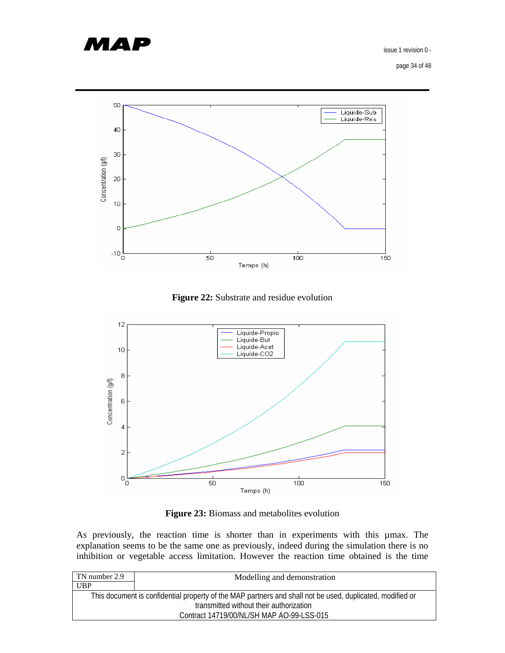

page 34 of 48



**Figure 22:** Substrate and residue evolution



**Figure 23:** Biomass and metabolites evolution

As previously, the reaction time is shorter than in experiments with this µmax. The explanation seems to be the same one as previously, indeed during the simulation there is no inhibition or vegetable access limitation. However the reaction time obtained is the time

| TN number 2.9                                                                                             | Modelling and demonstration |  |
|-----------------------------------------------------------------------------------------------------------|-----------------------------|--|
| <b>UBP</b>                                                                                                |                             |  |
| This document is confidential property of the MAP partners and shall not be used, duplicated, modified or |                             |  |
| transmitted without their authorization                                                                   |                             |  |
| Contract 14719/00/NL/SH MAP AO-99-LSS-015                                                                 |                             |  |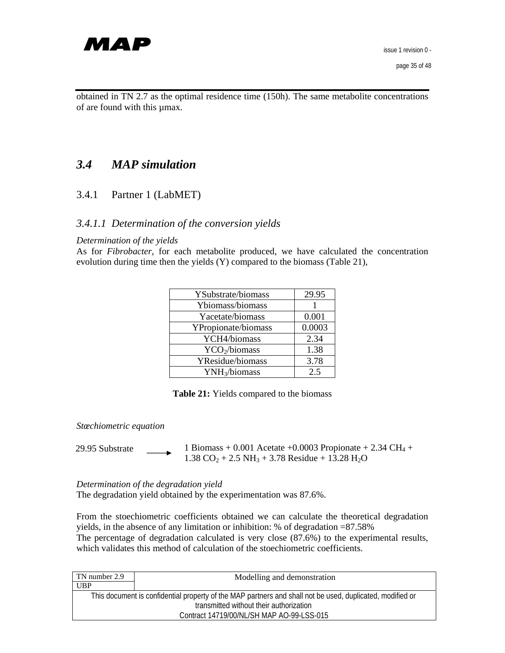

obtained in TN 2.7 as the optimal residence time (150h). The same metabolite concentrations of are found with this µmax.

# *3.4 MAP simulation*

#### 3.4.1 Partner 1 (LabMET)

#### *3.4.1.1 Determination of the conversion yields*

#### *Determination of the yields*

As for *Fibrobacter*, for each metabolite produced, we have calculated the concentration evolution during time then the yields (Y) compared to the biomass (Table 21),

| YSubstrate/biomass        | 29.95  |
|---------------------------|--------|
| Ybiomass/biomass          |        |
| Yacetate/biomass          | 0.001  |
| YPropionate/biomass       | 0.0003 |
| YCH4/biomass              | 2.34   |
| YCO2/biomass              | 1.38   |
| YResidue/biomass          | 3.78   |
| YNH <sub>3</sub> /biomass | 2.5    |

**Table 21:** Yields compared to the biomass

*Stœchiometric equation* 

1 Biomass + 0.001 Acetate +0.0003 Propionate + 2.34 CH<sub>4</sub> +  $1.38 \text{ CO}_2 + 2.5 \text{ NH}_3 + 3.78 \text{ Residue} + 13.28 \text{ H}_2\text{O}$ 29.95 Substrate

*Determination of the degradation yield*  The degradation yield obtained by the experimentation was 87.6%.

From the stoechiometric coefficients obtained we can calculate the theoretical degradation yields, in the absence of any limitation or inhibition: % of degradation =87.58% The percentage of degradation calculated is very close (87.6%) to the experimental results, which validates this method of calculation of the stoechiometric coefficients.

| TN number 2.9                                                                                             | Modelling and demonstration |  |
|-----------------------------------------------------------------------------------------------------------|-----------------------------|--|
| <b>UBP</b>                                                                                                |                             |  |
| This document is confidential property of the MAP partners and shall not be used, duplicated, modified or |                             |  |
| transmitted without their authorization                                                                   |                             |  |
| Contract 14719/00/NL/SH MAP AO-99-LSS-015                                                                 |                             |  |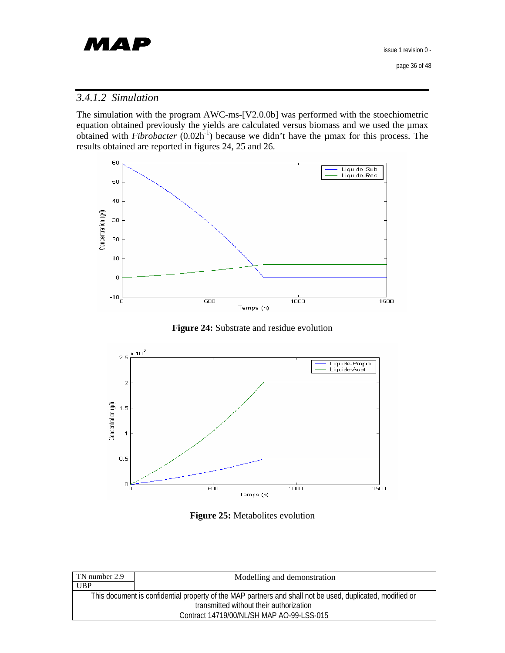

## *3.4.1.2 Simulation*

The simulation with the program AWC-ms-[V2.0.0b] was performed with the stoechiometric equation obtained previously the yields are calculated versus biomass and we used the µmax obtained with *Fibrobacter* (0.02h-1) because we didn't have the µmax for this process. The results obtained are reported in figures 24, 25 and 26.



**Figure 24:** Substrate and residue evolution



**Figure 25:** Metabolites evolution

| TN number 2.9                                                                                             | Modelling and demonstration |  |
|-----------------------------------------------------------------------------------------------------------|-----------------------------|--|
| <b>UBP</b>                                                                                                |                             |  |
| This document is confidential property of the MAP partners and shall not be used, duplicated, modified or |                             |  |
| transmitted without their authorization                                                                   |                             |  |
| Contract 14719/00/NL/SH MAP AO-99-LSS-015                                                                 |                             |  |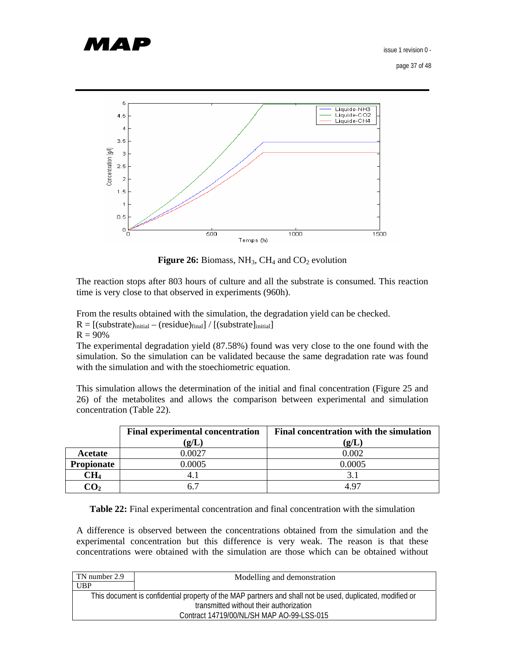# МАР

issue 1 revision 0 -

page 37 of 48



**Figure 26:** Biomass,  $NH_3$ ,  $CH_4$  and  $CO_2$  evolution

The reaction stops after 803 hours of culture and all the substrate is consumed. This reaction time is very close to that observed in experiments (960h).

From the results obtained with the simulation, the degradation yield can be checked.

 $R = [(substrate)_{initial} - (residue)_{final}] / [(substrate]_{initial}]$ 

 $R = 90%$ 

The experimental degradation yield (87.58%) found was very close to the one found with the simulation. So the simulation can be validated because the same degradation rate was found with the simulation and with the stoechiometric equation.

This simulation allows the determination of the initial and final concentration (Figure 25 and 26) of the metabolites and allows the comparison between experimental and simulation concentration (Table 22).

|                   | <b>Final experimental concentration</b> | <b>Final concentration with the simulation</b> |
|-------------------|-----------------------------------------|------------------------------------------------|
|                   | $\left( {\bf g}/{\bf L}\right)$         | $({\bf g}/{\bf L})$                            |
| Acetate           | 0.0027                                  | 0.002                                          |
| <b>Propionate</b> | 0.0005                                  | 0.0005                                         |
| $\rm CH_{4}$      |                                         |                                                |
| CO2               |                                         | 4.97                                           |

**Table 22:** Final experimental concentration and final concentration with the simulation

A difference is observed between the concentrations obtained from the simulation and the experimental concentration but this difference is very weak. The reason is that these concentrations were obtained with the simulation are those which can be obtained without

| TN number 2.9 | Modelling and demonstration                                                                               |
|---------------|-----------------------------------------------------------------------------------------------------------|
| <b>UBP</b>    |                                                                                                           |
|               | This document is confidential property of the MAP partners and shall not be used, duplicated, modified or |
|               | transmitted without their authorization                                                                   |
|               | Contract 14719/00/NL/SH MAP AO-99-LSS-015                                                                 |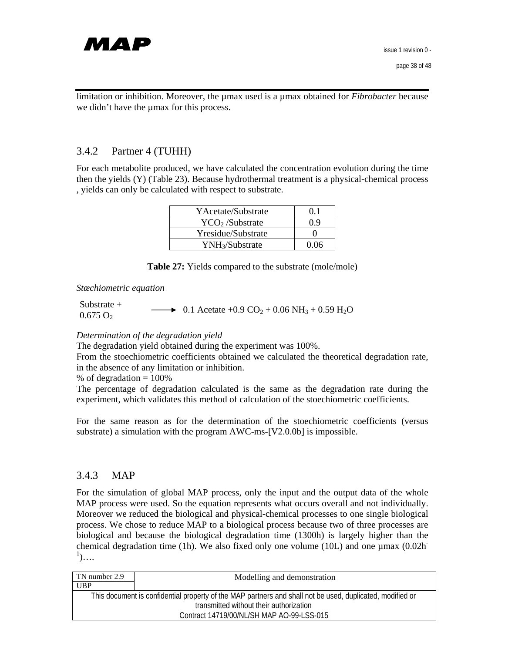

limitation or inhibition. Moreover, the µmax used is a µmax obtained for *Fibrobacter* because we didn't have the  $\mu$ max for this process.

#### 3.4.2 Partner 4 (TUHH)

For each metabolite produced, we have calculated the concentration evolution during the time then the yields (Y) (Table 23). Because hydrothermal treatment is a physical-chemical process , yields can only be calculated with respect to substrate.

| YAcetate/Substrate          | 01   |
|-----------------------------|------|
| YCO <sub>2</sub> /Substrate | በ ዓ  |
| Yresidue/Substrate          |      |
| YNH <sub>3</sub> /Substrate | በ በ6 |

|  |  |  | <b>Table 27:</b> Yields compared to the substrate (mole/mole) |
|--|--|--|---------------------------------------------------------------|
|--|--|--|---------------------------------------------------------------|

*Stœchiometric equation* 

| Substrate $+$        | $\longrightarrow 0.1$ Acetate +0.9 CO <sub>2</sub> + 0.06 NH <sub>3</sub> + 0.59 H <sub>2</sub> O |
|----------------------|---------------------------------------------------------------------------------------------------|
| 0.675 O <sub>2</sub> |                                                                                                   |

#### *Determination of the degradation yield*

The degradation yield obtained during the experiment was 100%.

From the stoechiometric coefficients obtained we calculated the theoretical degradation rate, in the absence of any limitation or inhibition.

% of degradation  $= 100\%$ 

The percentage of degradation calculated is the same as the degradation rate during the experiment, which validates this method of calculation of the stoechiometric coefficients.

For the same reason as for the determination of the stoechiometric coefficients (versus substrate) a simulation with the program AWC-ms-[V2.0.0b] is impossible.

#### 3.4.3 MAP

For the simulation of global MAP process, only the input and the output data of the whole MAP process were used. So the equation represents what occurs overall and not individually. Moreover we reduced the biological and physical-chemical processes to one single biological process. We chose to reduce MAP to a biological process because two of three processes are biological and because the biological degradation time (1300h) is largely higher than the chemical degradation time (1h). We also fixed only one volume (10L) and one  $\mu$ max (0.02h<sup>-</sup>  $\left( \cdot \right)$ ....

| TN number 2.9 | Modelling and demonstration                                                                               |
|---------------|-----------------------------------------------------------------------------------------------------------|
| UBP           |                                                                                                           |
|               | This document is confidential property of the MAP partners and shall not be used, duplicated, modified or |
|               | transmitted without their authorization                                                                   |
|               | Contract 14719/00/NL/SH MAP AO-99-LSS-015                                                                 |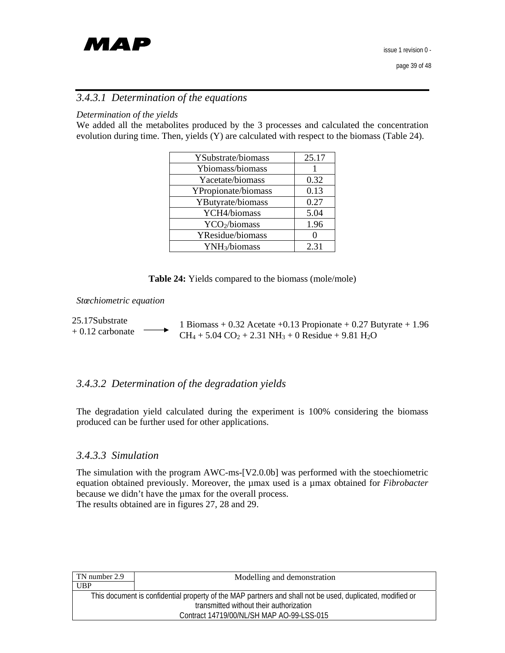

## *3.4.3.1 Determination of the equations*

#### *Determination of the yields*

We added all the metabolites produced by the 3 processes and calculated the concentration evolution during time. Then, yields (Y) are calculated with respect to the biomass (Table 24).

| YSubstrate/biomass        | 25.17 |
|---------------------------|-------|
| Ybiomass/biomass          |       |
| Yacetate/biomass          | 0.32  |
| YPropionate/biomass       | 0.13  |
| YButyrate/biomass         | 0.27  |
| YCH4/biomass              | 5.04  |
| YCO <sub>2</sub> /biomass | 1.96  |
| YResidue/biomass          |       |
| YNH <sub>3</sub> /biomass | 2.31  |

**Table 24:** Yields compared to the biomass (mole/mole)

#### *Stœchiometric equation*

1 Biomass + 0.32 Acetate +0.13 Propionate + 0.27 Butyrate + 1.96  $CH_4 + 5.04 CO_2 + 2.31 NH_3 + 0$  Residue + 9.81 H<sub>2</sub>O 25.17Substrate + 0.12 carbonate

#### *3.4.3.2 Determination of the degradation yields*

The degradation yield calculated during the experiment is 100% considering the biomass produced can be further used for other applications.

#### *3.4.3.3 Simulation*

The simulation with the program AWC-ms-[V2.0.0b] was performed with the stoechiometric equation obtained previously. Moreover, the µmax used is a µmax obtained for *Fibrobacter* because we didn't have the µmax for the overall process. The results obtained are in figures 27, 28 and 29.

| TN number 2.9                           | Modelling and demonstration                                                                               |  |
|-----------------------------------------|-----------------------------------------------------------------------------------------------------------|--|
| UBP                                     |                                                                                                           |  |
|                                         | This document is confidential property of the MAP partners and shall not be used, duplicated, modified or |  |
| transmitted without their authorization |                                                                                                           |  |
|                                         | Contract 14719/00/NL/SH MAP AO-99-LSS-015                                                                 |  |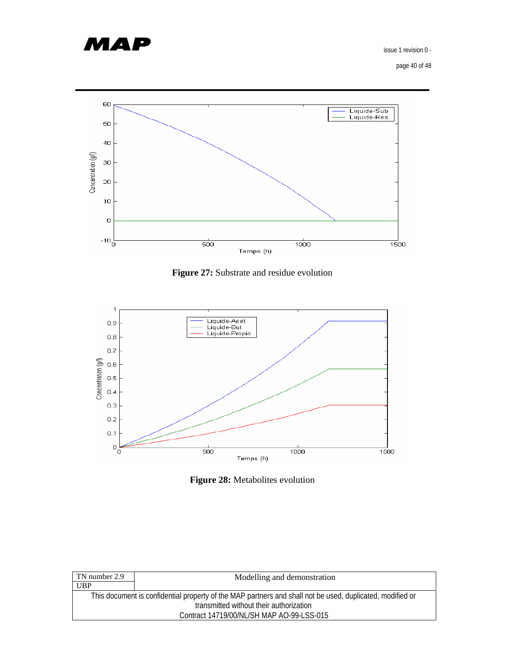

page 40 of 48



**Figure 27:** Substrate and residue evolution



**Figure 28:** Metabolites evolution

| TN number 2.9                             | Modelling and demonstration                                                                               |  |
|-------------------------------------------|-----------------------------------------------------------------------------------------------------------|--|
| <b>UBP</b>                                |                                                                                                           |  |
|                                           | This document is confidential property of the MAP partners and shall not be used, duplicated, modified or |  |
| transmitted without their authorization   |                                                                                                           |  |
| Contract 14719/00/NL/SH MAP AO-99-LSS-015 |                                                                                                           |  |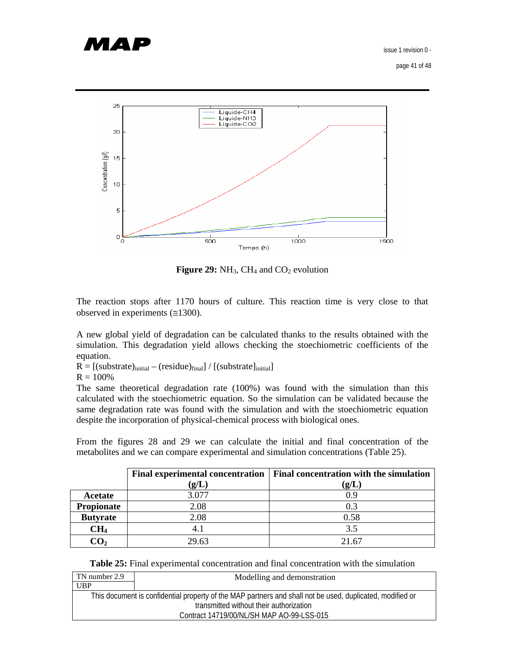# МАР

issue 1 revision 0 -

page 41 of 48



**Figure 29:** NH<sub>3</sub>, CH<sub>4</sub> and CO<sub>2</sub> evolution

The reaction stops after 1170 hours of culture. This reaction time is very close to that observed in experiments  $(\approx 1300)$ .

A new global yield of degradation can be calculated thanks to the results obtained with the simulation. This degradation yield allows checking the stoechiometric coefficients of the equation.

 $R = [(substrate)_{initial} - (residue)_{final}] / [(substrate)_{initial}]$ 

 $R = 100%$ 

The same theoretical degradation rate (100%) was found with the simulation than this calculated with the stoechiometric equation. So the simulation can be validated because the same degradation rate was found with the simulation and with the stoechiometric equation despite the incorporation of physical-chemical process with biological ones.

From the figures 28 and 29 we can calculate the initial and final concentration of the metabolites and we can compare experimental and simulation concentrations (Table 25).

|                 |                                 | Final experimental concentration   Final concentration with the simulation |  |
|-----------------|---------------------------------|----------------------------------------------------------------------------|--|
|                 | $\left( {\bf g}/{\bf L}\right)$ | $\left( \mathbf{g/L}\right)$                                               |  |
| Acetate         | 3.077                           | 0.9                                                                        |  |
| Propionate      | 2.08                            | 0.3                                                                        |  |
| <b>Butyrate</b> | 2.08                            | 0.58                                                                       |  |
| CH <sub>4</sub> |                                 | 3.5                                                                        |  |
|                 | 29.63                           | 21.67                                                                      |  |

**Table 25:** Final experimental concentration and final concentration with the simulation

| TN number 2.9 | Modelling and demonstration                                                                               |
|---------------|-----------------------------------------------------------------------------------------------------------|
| <b>UBP</b>    |                                                                                                           |
|               | This document is confidential property of the MAP partners and shall not be used, duplicated, modified or |
|               | transmitted without their authorization                                                                   |
|               | Contract 14719/00/NL/SH MAP AO-99-LSS-015                                                                 |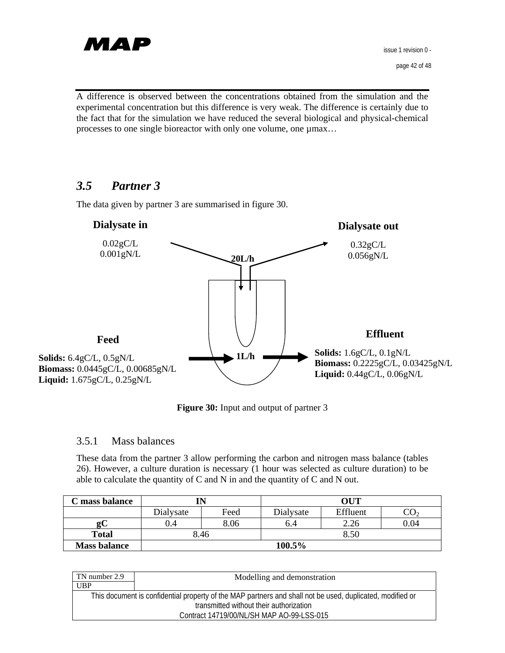

A difference is observed between the concentrations obtained from the simulation and the experimental concentration but this difference is very weak. The difference is certainly due to the fact that for the simulation we have reduced the several biological and physical-chemical processes to one single bioreactor with only one volume, one  $\mu$ max...

## *3.5 Partner 3*

The data given by partner 3 are summarised in figure 30.



**Figure 30:** Input and output of partner 3

## 3.5.1 Mass balances

These data from the partner 3 allow performing the carbon and nitrogen mass balance (tables 26). However, a culture duration is necessary (1 hour was selected as culture duration) to be able to calculate the quantity of C and N in and the quantity of C and N out.

| C mass balance      |           |      | OUT       |          |      |
|---------------------|-----------|------|-----------|----------|------|
|                     | Dialysate | Feed | Dialysate | Effluent |      |
| <b>QC</b>           | 0.4       | 8.06 | 0.4       | 2.26     | 0.04 |
| <b>Total</b>        | 8.46      |      |           | 8.50     |      |
| <b>Mass balance</b> |           |      | 100.5%    |          |      |

| TN number 2.9                           | Modelling and demonstration                                                                               |  |
|-----------------------------------------|-----------------------------------------------------------------------------------------------------------|--|
| <b>UBP</b>                              |                                                                                                           |  |
|                                         | This document is confidential property of the MAP partners and shall not be used, duplicated, modified or |  |
| transmitted without their authorization |                                                                                                           |  |
|                                         | Contract 14719/00/NL/SH MAP AO-99-LSS-015                                                                 |  |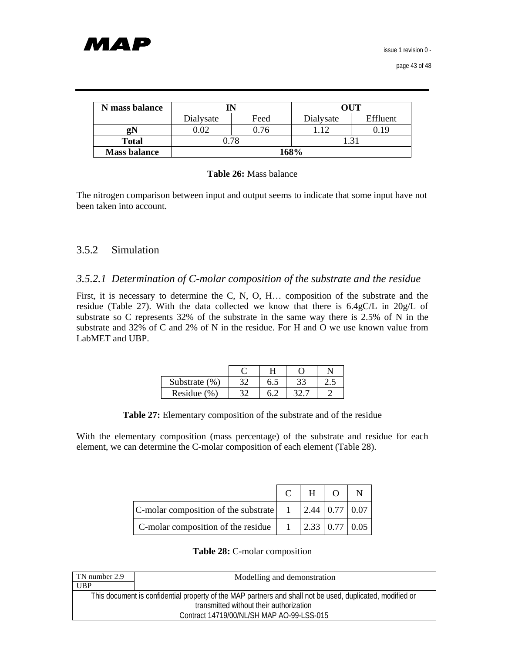| N mass balance      |              |      | <b>OUT</b> |          |
|---------------------|--------------|------|------------|----------|
|                     | Dialysate    | Feed | Dialysate  | Effluent |
| ջN                  | $\Omega$     | 0.76 |            | -19      |
| <b>Total</b>        | 0.78<br>1.31 |      |            |          |
| <b>Mass balance</b> |              | 168% |            |          |

#### **Table 26:** Mass balance

The nitrogen comparison between input and output seems to indicate that some input have not been taken into account.

## 3.5.2 Simulation

## *3.5.2.1 Determination of C-molar composition of the substrate and the residue*

First, it is necessary to determine the C, N, O, H… composition of the substrate and the residue (Table 27). With the data collected we know that there is 6.4gC/L in 20g/L of substrate so C represents 32% of the substrate in the same way there is 2.5% of N in the substrate and 32% of C and 2% of N in the residue. For H and O we use known value from LabMET and UBP.

| Substrate (%) | 0.5 |  |
|---------------|-----|--|
| Residue (%)   |     |  |

| Table 27: Elementary composition of the substrate and of the residue |  |  |  |  |  |  |  |  |
|----------------------------------------------------------------------|--|--|--|--|--|--|--|--|
|----------------------------------------------------------------------|--|--|--|--|--|--|--|--|

With the elementary composition (mass percentage) of the substrate and residue for each element, we can determine the C-molar composition of each element (Table 28).

|                                                                                             | H |  |
|---------------------------------------------------------------------------------------------|---|--|
| C-molar composition of the substrate $\begin{vmatrix} 1 & 2.44 & 0.77 & 0.07 \end{vmatrix}$ |   |  |
| C-molar composition of the residue $\begin{vmatrix} 1 & 2.33 & 0.77 & 0.05 \end{vmatrix}$   |   |  |

#### **Table 28:** C-molar composition

| TN number 2.9                                                                                             | Modelling and demonstration |  |
|-----------------------------------------------------------------------------------------------------------|-----------------------------|--|
| <b>UBP</b>                                                                                                |                             |  |
| This document is confidential property of the MAP partners and shall not be used, duplicated, modified or |                             |  |
| transmitted without their authorization                                                                   |                             |  |
| Contract 14719/00/NL/SH MAP AO-99-LSS-015                                                                 |                             |  |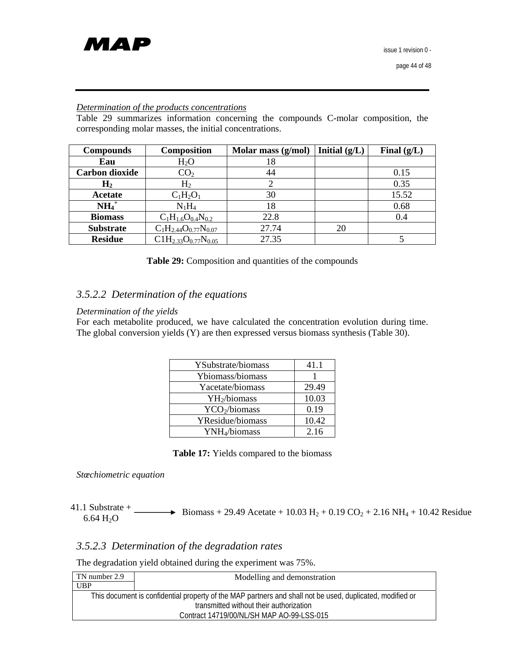

#### *Determination of the products concentrations*

Table 29 summarizes information concerning the compounds C-molar composition, the corresponding molar masses, the initial concentrations.

| <b>Compounds</b>      | <b>Composition</b>            | Molar mass (g/mol) | Initial $(g/L)$ | Final $(g/L)$ |
|-----------------------|-------------------------------|--------------------|-----------------|---------------|
| Eau                   | $H_2O$                        | 18                 |                 |               |
| <b>Carbon dioxide</b> | CO <sub>2</sub>               | 44                 |                 | 0.15          |
| $H_2$                 | H <sub>2</sub>                |                    |                 | 0.35          |
| Acetate               | $C_1H_2O_1$                   | 30                 |                 | 15.52         |
| $NH_4$ <sup>+</sup>   | $N_1H_4$                      | 18                 |                 | 0.68          |
| <b>Biomass</b>        | $C_1H_{1.6}O_{0.4}N_{0.2}$    | 22.8               |                 | 0.4           |
| <b>Substrate</b>      | $C_1H_{2.44}O_{0.77}N_{0.07}$ | 27.74              | 20              |               |
| <b>Residue</b>        | $C1H_{2,33}O_{0.77}N_{0.05}$  | 27.35              |                 |               |

#### *3.5.2.2 Determination of the equations*

#### *Determination of the yields*

For each metabolite produced, we have calculated the concentration evolution during time. The global conversion yields (Y) are then expressed versus biomass synthesis (Table 30).

| YSubstrate/biomass        | 41.1  |
|---------------------------|-------|
| Ybiomass/biomass          |       |
| Yacetate/biomass          | 29.49 |
| YH <sub>2</sub> /biomass  | 10.03 |
| YCO <sub>2</sub> /biomass | 0.19  |
| YResidue/biomass          | 10.42 |
| YNH <sub>4</sub> /biomass | 2.16  |

|  | <b>Table 17:</b> Yields compared to the biomass |  |  |  |
|--|-------------------------------------------------|--|--|--|
|--|-------------------------------------------------|--|--|--|

*Stœchiometric equation* 

41.1 Substrate + <br>6.64 H<sub>2</sub>O Biomass + 29.49 Acetate + 10.03 H<sub>2</sub> + 0.19 CO<sub>2</sub> + 2.16 NH<sub>4</sub> + 10.42 Residue

## *3.5.2.3 Determination of the degradation rates*

The degradation yield obtained during the experiment was 75%.

| TN number 2.9                                                                                             | Modelling and demonstration               |  |  |
|-----------------------------------------------------------------------------------------------------------|-------------------------------------------|--|--|
| <b>UBP</b>                                                                                                |                                           |  |  |
| This document is confidential property of the MAP partners and shall not be used, duplicated, modified or |                                           |  |  |
| transmitted without their authorization                                                                   |                                           |  |  |
|                                                                                                           | Contract 14719/00/NL/SH MAP AO-99-LSS-015 |  |  |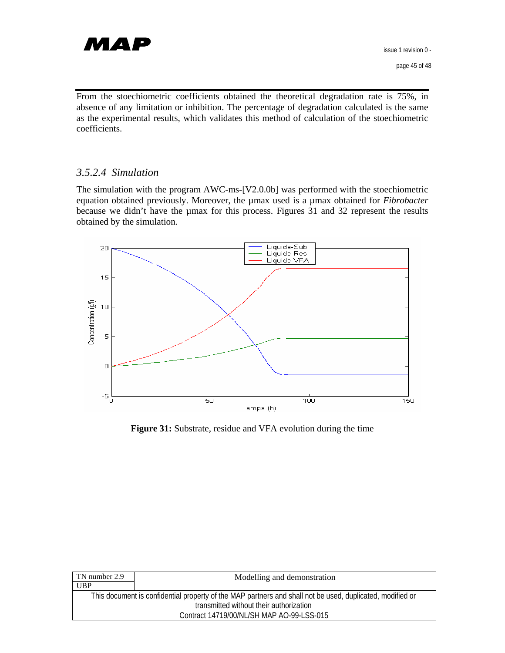

From the stoechiometric coefficients obtained the theoretical degradation rate is 75%, in absence of any limitation or inhibition. The percentage of degradation calculated is the same as the experimental results, which validates this method of calculation of the stoechiometric coefficients.

#### *3.5.2.4 Simulation*

The simulation with the program AWC-ms-[V2.0.0b] was performed with the stoechiometric equation obtained previously. Moreover, the µmax used is a µmax obtained for *Fibrobacter* because we didn't have the µmax for this process. Figures 31 and 32 represent the results obtained by the simulation.



**Figure 31:** Substrate, residue and VFA evolution during the time

| TN number 2.9                                                                                             | Modelling and demonstration               |  |  |
|-----------------------------------------------------------------------------------------------------------|-------------------------------------------|--|--|
| <b>UBP</b>                                                                                                |                                           |  |  |
| This document is confidential property of the MAP partners and shall not be used, duplicated, modified or |                                           |  |  |
| transmitted without their authorization                                                                   |                                           |  |  |
|                                                                                                           | Contract 14719/00/NL/SH MAP AO-99-LSS-015 |  |  |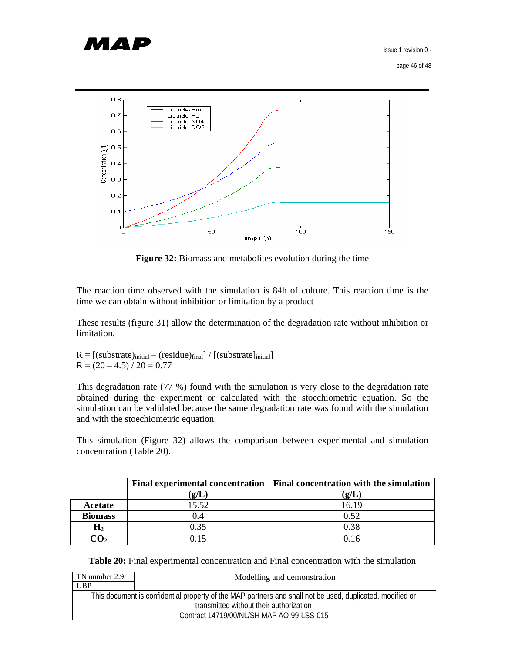

page 46 of 48



Figure 32: Biomass and metabolites evolution during the time

The reaction time observed with the simulation is 84h of culture. This reaction time is the time we can obtain without inhibition or limitation by a product

These results (figure 31) allow the determination of the degradation rate without inhibition or limitation.

 $R = [(substrate)_{initial} - (residue)_{final}] / [(substrate)_{initial}]$  $R = (20 - 4.5) / 20 = 0.77$ 

This degradation rate (77 %) found with the simulation is very close to the degradation rate obtained during the experiment or calculated with the stoechiometric equation. So the simulation can be validated because the same degradation rate was found with the simulation and with the stoechiometric equation.

This simulation (Figure 32) allows the comparison between experimental and simulation concentration (Table 20).

|                |                                 | Final experimental concentration   Final concentration with the simulation |
|----------------|---------------------------------|----------------------------------------------------------------------------|
|                | $\left( {\bf g}/{\bf L}\right)$ | qL                                                                         |
| Acetate        | 15.52                           | 16.19                                                                      |
| <b>Biomass</b> | ).4                             | 0.52                                                                       |
| $\mathbf{H}_2$ | 0.35                            | 0.38                                                                       |
|                | ነ 15                            |                                                                            |

**Table 20:** Final experimental concentration and Final concentration with the simulation

| TN number 2.9                                                                                             | Modelling and demonstration |
|-----------------------------------------------------------------------------------------------------------|-----------------------------|
| <b>UBP</b>                                                                                                |                             |
| This document is confidential property of the MAP partners and shall not be used, duplicated, modified or |                             |
| transmitted without their authorization                                                                   |                             |
| Contract 14719/00/NL/SH MAP AO-99-LSS-015                                                                 |                             |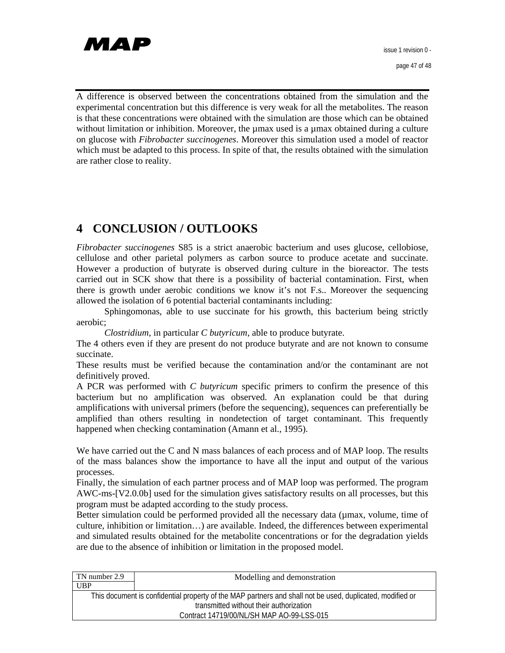

page 47 of 48

A difference is observed between the concentrations obtained from the simulation and the experimental concentration but this difference is very weak for all the metabolites. The reason is that these concentrations were obtained with the simulation are those which can be obtained without limitation or inhibition. Moreover, the umax used is a umax obtained during a culture on glucose with *Fibrobacter succinogenes*. Moreover this simulation used a model of reactor which must be adapted to this process. In spite of that, the results obtained with the simulation are rather close to reality.

# **4 CONCLUSION / OUTLOOKS**

*Fibrobacter succinogenes* S85 is a strict anaerobic bacterium and uses glucose, cellobiose, cellulose and other parietal polymers as carbon source to produce acetate and succinate. However a production of butyrate is observed during culture in the bioreactor. The tests carried out in SCK show that there is a possibility of bacterial contamination. First, when there is growth under aerobic conditions we know it's not F.s.. Moreover the sequencing allowed the isolation of 6 potential bacterial contaminants including:

Sphingomonas, able to use succinate for his growth, this bacterium being strictly aerobic;

*Clostridium*, in particular *C butyricum*, able to produce butyrate.

The 4 others even if they are present do not produce butyrate and are not known to consume succinate.

These results must be verified because the contamination and/or the contaminant are not definitively proved.

A PCR was performed with *C butyricum* specific primers to confirm the presence of this bacterium but no amplification was observed. An explanation could be that during amplifications with universal primers (before the sequencing), sequences can preferentially be amplified than others resulting in nondetection of target contaminant. This frequently happened when checking contamination (Amann et al., 1995).

We have carried out the C and N mass balances of each process and of MAP loop. The results of the mass balances show the importance to have all the input and output of the various processes.

Finally, the simulation of each partner process and of MAP loop was performed. The program AWC-ms-[V2.0.0b] used for the simulation gives satisfactory results on all processes, but this program must be adapted according to the study process.

Better simulation could be performed provided all the necessary data (µmax, volume, time of culture, inhibition or limitation…) are available. Indeed, the differences between experimental and simulated results obtained for the metabolite concentrations or for the degradation yields are due to the absence of inhibition or limitation in the proposed model.

| TN number 2.9                                                                                             | Modelling and demonstration |
|-----------------------------------------------------------------------------------------------------------|-----------------------------|
| <b>UBP</b>                                                                                                |                             |
| This document is confidential property of the MAP partners and shall not be used, duplicated, modified or |                             |
| transmitted without their authorization                                                                   |                             |
| Contract 14719/00/NL/SH MAP AO-99-LSS-015                                                                 |                             |